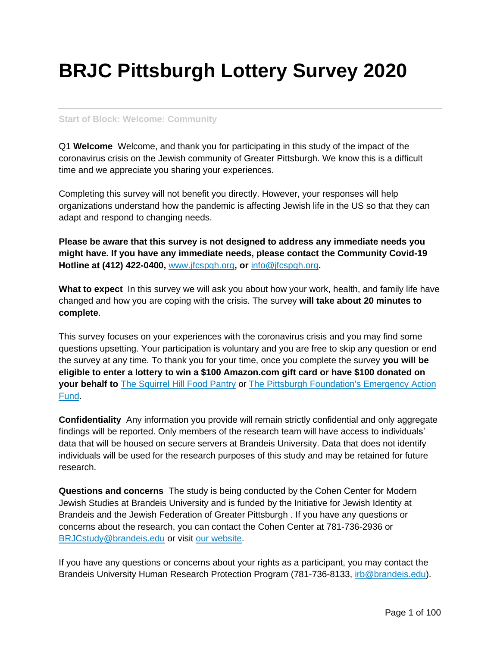# **BRJC Pittsburgh Lottery Survey 2020**

**Start of Block: Welcome: Community**

Q1 **Welcome** Welcome, and thank you for participating in this study of the impact of the coronavirus crisis on the Jewish community of Greater Pittsburgh. We know this is a difficult time and we appreciate you sharing your experiences.

Completing this survey will not benefit you directly. However, your responses will help organizations understand how the pandemic is affecting Jewish life in the US so that they can adapt and respond to changing needs.

**Please be aware that this survey is not designed to address any immediate needs you might have. If you have any immediate needs, please contact the Community Covid-19 Hotline at (412) 422-0400,** [www.jfcspgh.org](http://www.jfcspgh.org/)**, or** [info@jfcspgh.org](mailto:info@jfcspgh.org)**.**

**What to expect** In this survey we will ask you about how your work, health, and family life have changed and how you are coping with the crisis. The survey **will take about 20 minutes to complete**.

This survey focuses on your experiences with the coronavirus crisis and you may find some questions upsetting. Your participation is voluntary and you are free to skip any question or end the survey at any time. To thank you for your time, once you complete the survey **you will be eligible to enter a lottery to win a \$100 Amazon.com gift card or have \$100 donated on your behalf to** [The Squirrel Hill Food Pantry](https://www.jfcspgh.org/services/squirrel-hill-food-pantry/) or [The Pittsburgh Foundation's Emergency Action](https://pittsburghfoundation.org/emergencyactionfund)  [Fund.](https://pittsburghfoundation.org/emergencyactionfund)

**Confidentiality** Any information you provide will remain strictly confidential and only aggregate findings will be reported. Only members of the research team will have access to individuals' data that will be housed on secure servers at Brandeis University. Data that does not identify individuals will be used for the research purposes of this study and may be retained for future research.

**Questions and concerns** The study is being conducted by the Cohen Center for Modern Jewish Studies at Brandeis University and is funded by the Initiative for Jewish Identity at Brandeis and the Jewish Federation of Greater Pittsburgh . If you have any questions or concerns about the research, you can contact the Cohen Center at 781-736-2936 or [BRJCstudy@brandeis.edu](mailto:BRJCstudy@brandeis.edu) or visit [our website.](https://www.brandeis.edu/cmjs/researchprojects/brjc/general.html)

If you have any questions or concerns about your rights as a participant, you may contact the Brandeis University Human Research Protection Program (781-736-8133, [irb@brandeis.edu\)](mailto:irb@brandeis.edu).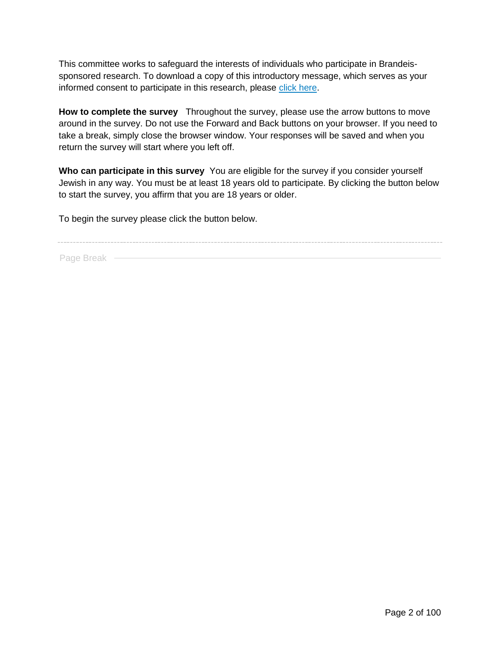This committee works to safeguard the interests of individuals who participate in Brandeissponsored research. To download a copy of this introductory message, which serves as your informed consent to participate in this research, please [click here.](https://www.brandeis.edu/cmjs/researchprojects/brjc/pdfs/brjc-study-pittsburgh-informed-consent_v1.pdf)

**How to complete the survey** Throughout the survey, please use the arrow buttons to move around in the survey. Do not use the Forward and Back buttons on your browser. If you need to take a break, simply close the browser window. Your responses will be saved and when you return the survey will start where you left off.

**Who can participate in this survey** You are eligible for the survey if you consider yourself Jewish in any way. You must be at least 18 years old to participate. By clicking the button below to start the survey, you affirm that you are 18 years or older.

To begin the survey please click the button below.

Page Break -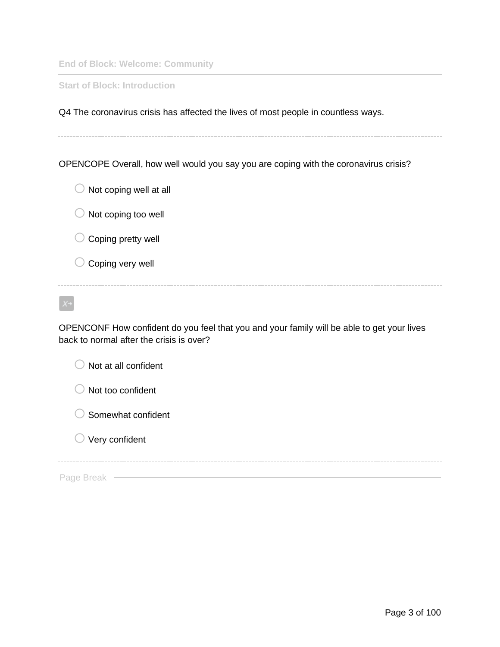**End of Block: Welcome: Community**

**Start of Block: Introduction**

Q4 The coronavirus crisis has affected the lives of most people in countless ways.

OPENCOPE Overall, how well would you say you are coping with the coronavirus crisis?

| Not coping well at all                                                                                                                                                                                        |
|---------------------------------------------------------------------------------------------------------------------------------------------------------------------------------------------------------------|
| Not coping too well                                                                                                                                                                                           |
| Coping pretty well                                                                                                                                                                                            |
| Coping very well                                                                                                                                                                                              |
| $X^{\rightarrow}$                                                                                                                                                                                             |
| OPENCONF How confident do you feel that you and your family will be able to get your lives<br>the contract of the contract of the contract of the contract of the contract of the contract of the contract of |

back to normal after the crisis is over?

| Not at all confident         |
|------------------------------|
| $\bigcirc$ Not too confident |
| ◯ Somewhat confident         |
| $\bigcirc$ Very confident    |

Page Break ––––––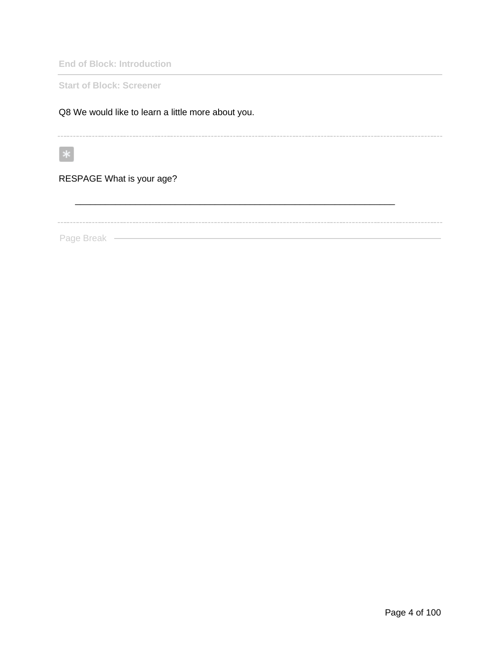**End of Block: Introduction**

**Start of Block: Screener**

Q8 We would like to learn a little more about you.

 $\ast$ 

RESPAGE What is your age?

\_\_\_\_\_\_\_\_\_\_\_\_\_\_\_\_\_\_\_\_\_\_\_\_\_\_\_\_\_\_\_\_\_\_\_\_\_\_\_\_\_\_\_\_\_\_\_\_\_\_\_\_\_\_\_\_\_\_\_\_\_\_\_\_

Page Break ————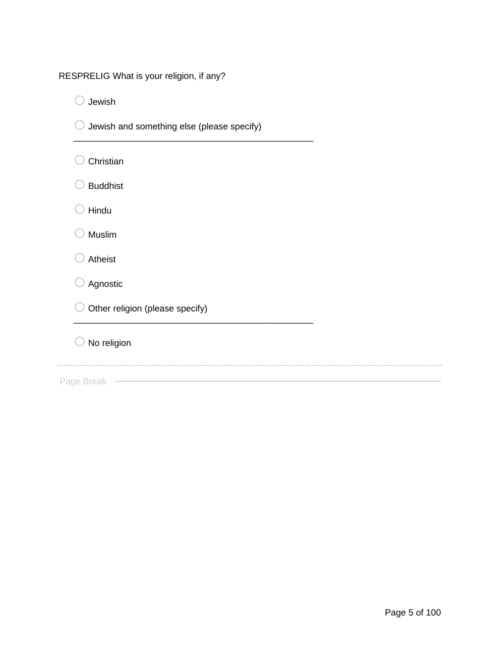RESPRELIG What is your religion, if any?

 $\bigcirc$  Jewish

| Jewish and something else (please specify) |  |
|--------------------------------------------|--|
| Christian                                  |  |
| <b>Buddhist</b>                            |  |
| Hindu                                      |  |
| Muslim                                     |  |
| Atheist                                    |  |
| Agnostic                                   |  |
| Other religion (please specify)            |  |
| No religion                                |  |
| Page Break                                 |  |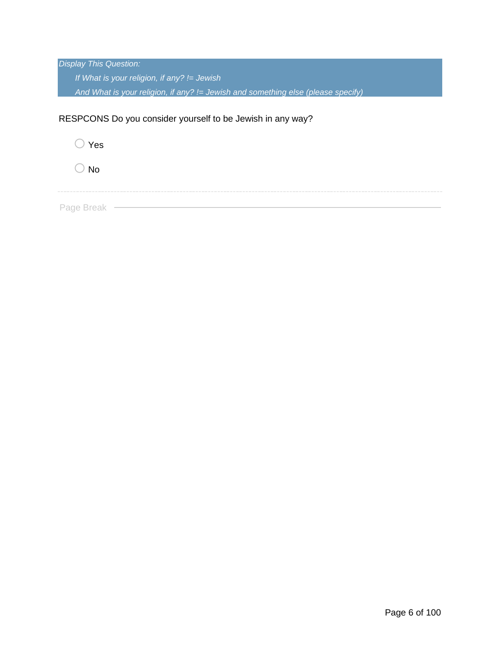| <b>Display This Question:</b>                                                    |
|----------------------------------------------------------------------------------|
| If What is your religion, if any? $E = J$ ewish                                  |
| And What is your religion, if any? != Jewish and something else (please specify) |
|                                                                                  |

RESPCONS Do you consider yourself to be Jewish in any way?

o Yes

 $\bigcirc$  No

Page Break -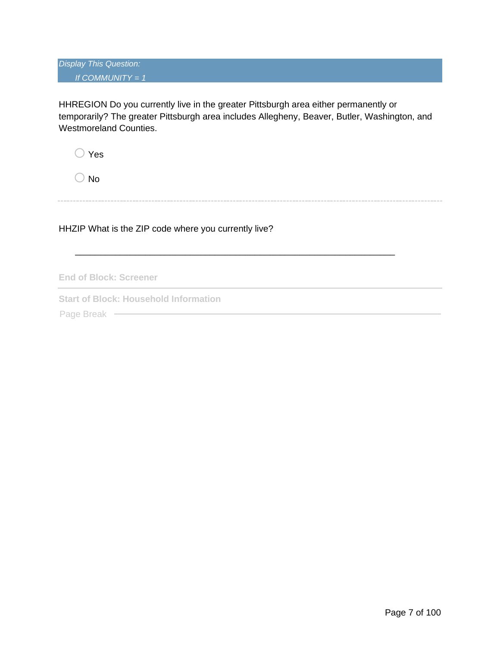HHREGION Do you currently live in the greater Pittsburgh area either permanently or temporarily? The greater Pittsburgh area includes Allegheny, Beaver, Butler, Washington, and Westmoreland Counties.

 $\bigcirc$  Yes

 $\bigcirc$  No

\_\_\_\_\_\_\_\_\_\_\_\_\_\_\_\_\_\_\_\_\_\_\_\_\_\_\_\_\_\_\_\_\_\_\_\_\_\_\_\_\_\_\_\_\_\_\_\_\_\_\_\_\_\_\_\_\_\_\_\_\_\_\_\_

HHZIP What is the ZIP code where you currently live?

**End of Block: Screener**

**Start of Block: Household Information**

Page Break –––––––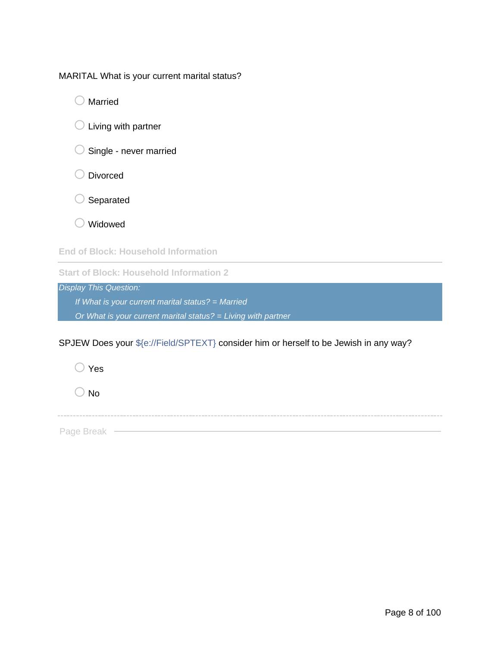MARITAL What is your current marital status?

 $\bigcirc$  Married

 $\bigcirc$  Living with partner

 $\bigcirc$  Single - never married

O Divorced

 $\bigcirc$  Separated

 $\bigcirc$  Widowed

**End of Block: Household Information**

**Start of Block: Household Information 2**

*Display This Question: If What is your current marital status? = Married Or What is your current marital status? = Living with partner*

SPJEW Does your \${e://Field/SPTEXT} consider him or herself to be Jewish in any way?

 $\bigcirc$  Yes

 $\bigcirc$  No

Page Break -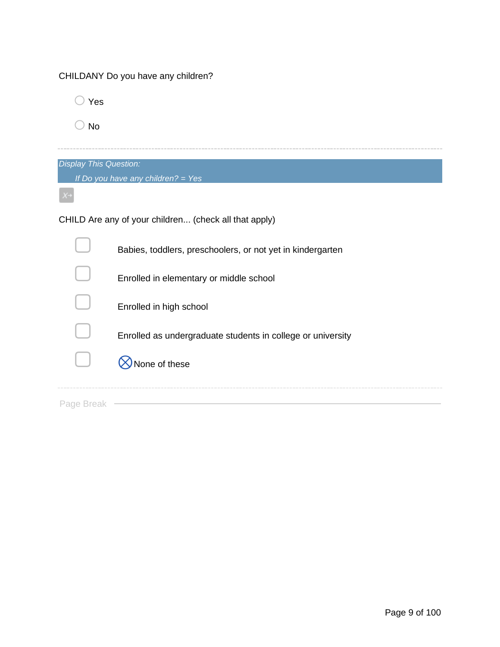| CHILDANY Do you have any children? |  |  |  |
|------------------------------------|--|--|--|
|                                    |  |  |  |

| Yes                           |                                                             |
|-------------------------------|-------------------------------------------------------------|
| <b>No</b>                     |                                                             |
| <b>Display This Question:</b> | If Do you have any children? = Yes                          |
|                               | CHILD Are any of your children (check all that apply)       |
|                               | Babies, toddlers, preschoolers, or not yet in kindergarten  |
|                               | Enrolled in elementary or middle school                     |
|                               | Enrolled in high school                                     |
|                               | Enrolled as undergraduate students in college or university |
|                               | None of these                                               |
| Page Break                    |                                                             |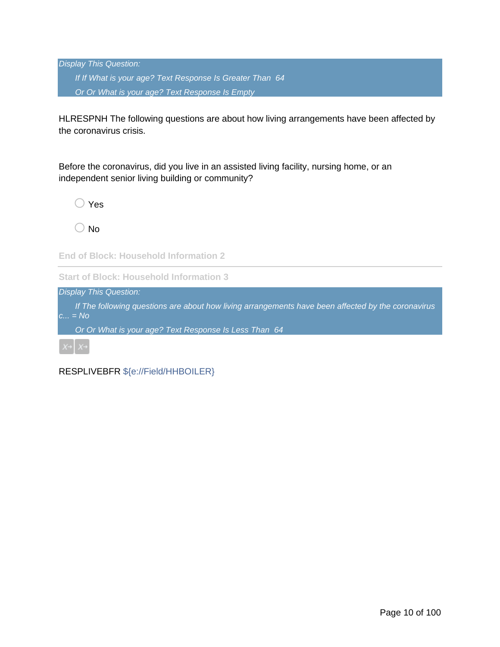*Display This Question: If If What is your age? Text Response Is Greater Than 64 Or Or What is your age? Text Response Is Empty*

HLRESPNH The following questions are about how living arrangements have been affected by the coronavirus crisis.

Before the coronavirus, did you live in an assisted living facility, nursing home, or an independent senior living building or community?

 $\bigcirc$  Yes

 $\bigcirc$  No

**End of Block: Household Information 2**

**Start of Block: Household Information 3**

*Display This Question:*

*If The following questions are about how living arrangements have been affected by the coronavirus c... = No*

*Or Or What is your age? Text Response Is Less Than 64*

RESPLIVEBFR \${e://Field/HHBOILER}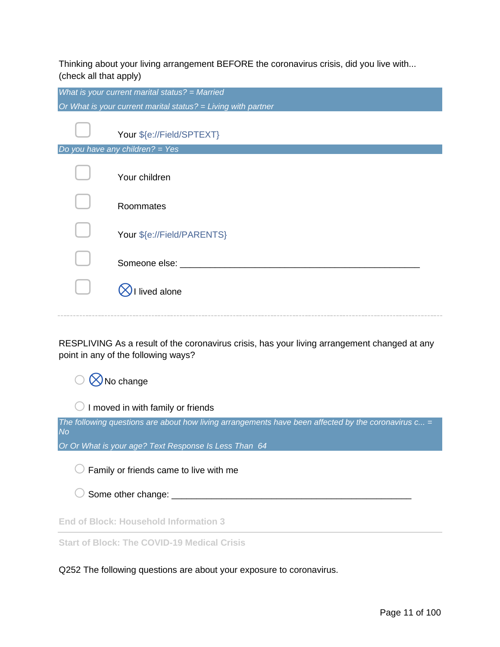Thinking about your living arrangement BEFORE the coronavirus crisis, did you live with... (check all that apply)

| What is your current marital status? = Married<br>Or What is your current marital status? = Living with partner |
|-----------------------------------------------------------------------------------------------------------------|
|                                                                                                                 |
| Your \${e://Field/SPTEXT}                                                                                       |
| Do you have any children? = Yes                                                                                 |
| Your children                                                                                                   |
| Roommates                                                                                                       |
| Your \${e://Field/PARENTS}                                                                                      |
| Someone else:                                                                                                   |
| lived alone                                                                                                     |
|                                                                                                                 |

RESPLIVING As a result of the coronavirus crisis, has your living arrangement changed at any point in any of the following ways?

o⊗No change

 $\bigcirc$  I moved in with family or friends

*The following questions are about how living arrangements have been affected by the coronavirus c... = No*

*Or Or What is your age? Text Response Is Less Than 64*

 $\bigcirc$  Family or friends came to live with me

o Some other change: \_\_\_\_\_\_\_\_\_\_\_\_\_\_\_\_\_\_\_\_\_\_\_\_\_\_\_\_\_\_\_\_\_\_\_\_\_\_\_\_\_\_\_\_\_\_\_\_

**End of Block: Household Information 3**

**Start of Block: The COVID-19 Medical Crisis**

Q252 The following questions are about your exposure to coronavirus.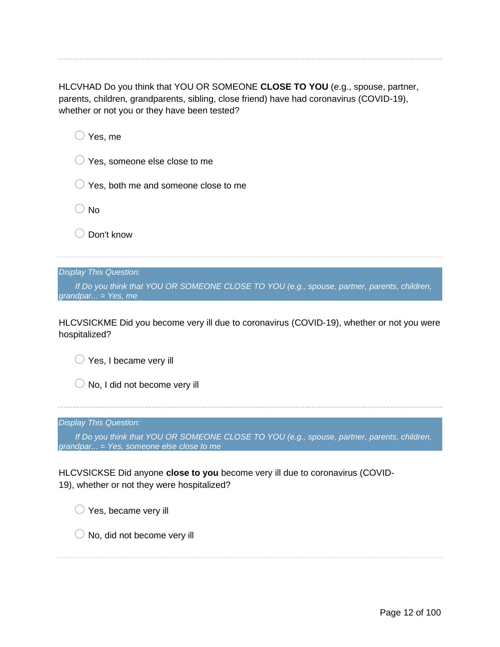HLCVHAD Do you think that YOU OR SOMEONE **CLOSE TO YOU** (e.g., spouse, partner, parents, children, grandparents, sibling, close friend) have had coronavirus (COVID-19), whether or not you or they have been tested?

| Yes, me                                                                                                             |
|---------------------------------------------------------------------------------------------------------------------|
| Yes, someone else close to me                                                                                       |
| Yes, both me and someone close to me                                                                                |
| <b>No</b>                                                                                                           |
| Don't know                                                                                                          |
|                                                                                                                     |
| <b>Display This Question:</b>                                                                                       |
| If Do you think that YOU OR SOMEONE CLOSE TO YOU (e.g., spouse, partner, parents, children,<br>$grandpar = Yes, me$ |
|                                                                                                                     |
| HLCVSICKME Did you become very ill due to coronavirus (COVID-19), whether or not you were<br>hospitalized?          |

 $\bigcirc$  Yes, I became very ill

|  |  | $\bigcirc$ No, I did not become very ill |  |
|--|--|------------------------------------------|--|

*Display This Question:*

*If Do you think that YOU OR SOMEONE CLOSE TO YOU (e.g., spouse, partner, parents, children, grandpar... = Yes, someone else close to me*

HLCVSICKSE Did anyone **close to you** become very ill due to coronavirus (COVID-19), whether or not they were hospitalized?

 $\bigcirc$  Yes, became very ill

 $\bigcirc$  No, did not become very ill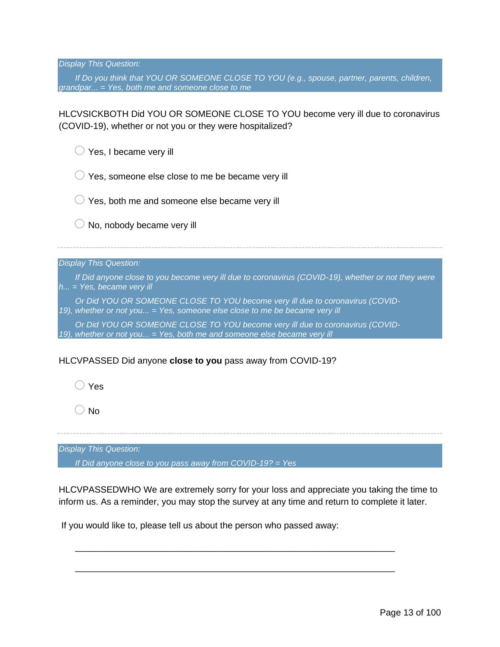*Display This Question:*

*If Do you think that YOU OR SOMEONE CLOSE TO YOU (e.g., spouse, partner, parents, children, grandpar... = Yes, both me and someone close to me*

HLCVSICKBOTH Did YOU OR SOMEONE CLOSE TO YOU become very ill due to coronavirus (COVID-19), whether or not you or they were hospitalized?

| Yes, I became very ill                                                                                                                                      |
|-------------------------------------------------------------------------------------------------------------------------------------------------------------|
| Yes, someone else close to me be became very ill                                                                                                            |
| Yes, both me and someone else became very ill                                                                                                               |
| No, nobody became very ill                                                                                                                                  |
|                                                                                                                                                             |
| <b>Display This Question:</b>                                                                                                                               |
| If Did anyone close to you become very ill due to coronavirus (COVID-19), whether or not they were<br>$h$ = Yes, became very ill                            |
| Or Did YOU OR SOMEONE CLOSE TO YOU become very ill due to coronavirus (COVID-<br>19), whether or not you = Yes, someone else close to me be became very ill |
| Or Did YOU OR SOMEONE CLOSE TO YOU become very ill due to coronavirus (COVID-<br>19), whether or not you = Yes, both me and someone else became very ill    |
| HLCVPASSED Did anyone close to you pass away from COVID-19?                                                                                                 |
| $\supset$ Yes                                                                                                                                               |
| <b>No</b>                                                                                                                                                   |
| <b>Display This Question:</b>                                                                                                                               |

*If Did anyone close to you pass away from COVID-19? = Yes*

HLCVPASSEDWHO We are extremely sorry for your loss and appreciate you taking the time to inform us. As a reminder, you may stop the survey at any time and return to complete it later.

\_\_\_\_\_\_\_\_\_\_\_\_\_\_\_\_\_\_\_\_\_\_\_\_\_\_\_\_\_\_\_\_\_\_\_\_\_\_\_\_\_\_\_\_\_\_\_\_\_\_\_\_\_\_\_\_\_\_\_\_\_\_\_\_

\_\_\_\_\_\_\_\_\_\_\_\_\_\_\_\_\_\_\_\_\_\_\_\_\_\_\_\_\_\_\_\_\_\_\_\_\_\_\_\_\_\_\_\_\_\_\_\_\_\_\_\_\_\_\_\_\_\_\_\_\_\_\_\_

If you would like to, please tell us about the person who passed away: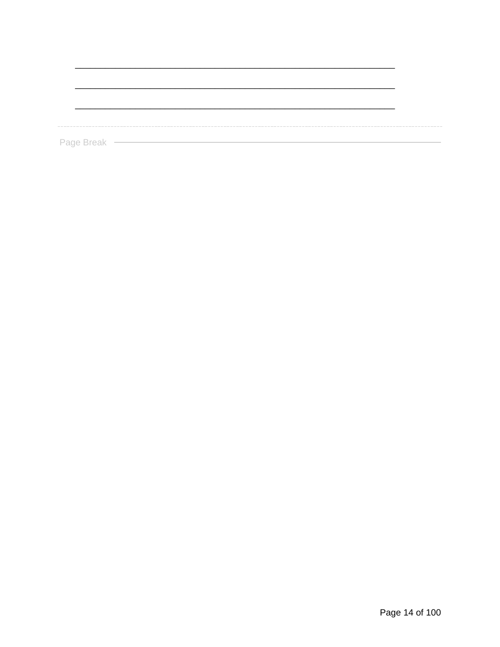| Page Break – |  |  |  |  |  |
|--------------|--|--|--|--|--|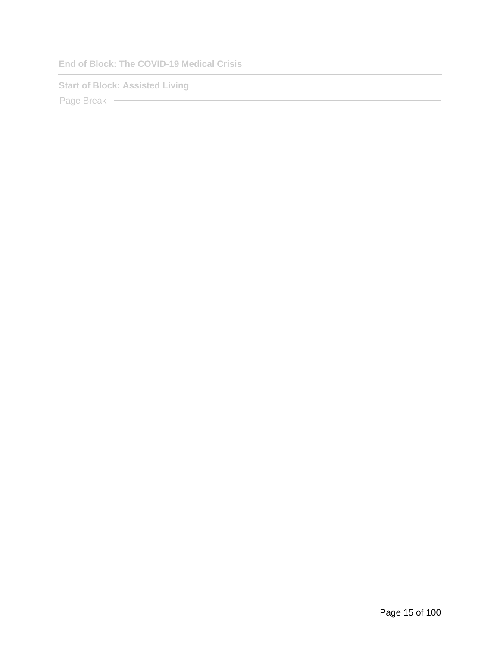**End of Block: The COVID-19 Medical Crisis**

**Start of Block: Assisted Living**

Page Break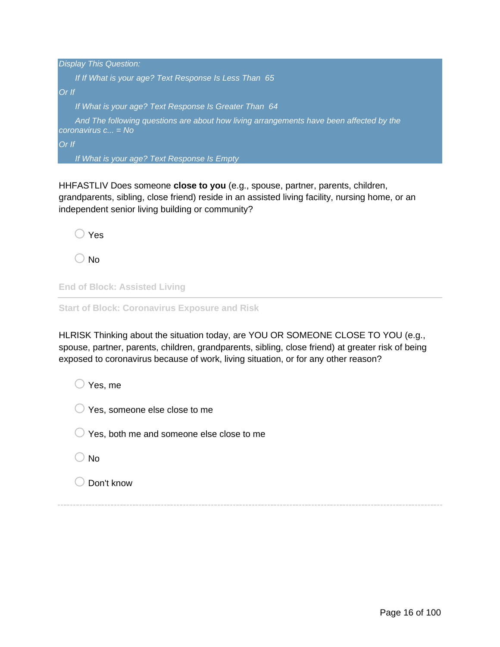*Display This Question: If If What is your age? Text Response Is Less Than 65 Or If If What is your age? Text Response Is Greater Than 64 And The following questions are about how living arrangements have been affected by the coronavirus c... = No Or If If What is your age? Text Response Is Empty*

HHFASTLIV Does someone **close to you** (e.g., spouse, partner, parents, children, grandparents, sibling, close friend) reside in an assisted living facility, nursing home, or an independent senior living building or community?

 $\bigcirc$  Yes

 $\bigcirc$  No

**End of Block: Assisted Living**

**Start of Block: Coronavirus Exposure and Risk**

HLRISK Thinking about the situation today, are YOU OR SOMEONE CLOSE TO YOU (e.g., spouse, partner, parents, children, grandparents, sibling, close friend) at greater risk of being exposed to coronavirus because of work, living situation, or for any other reason?

| Yes, me                                              |
|------------------------------------------------------|
| $\bigcirc$ Yes, someone else close to me             |
| $\bigcirc$ Yes, both me and someone else close to me |
| <b>No</b>                                            |
| Don't know                                           |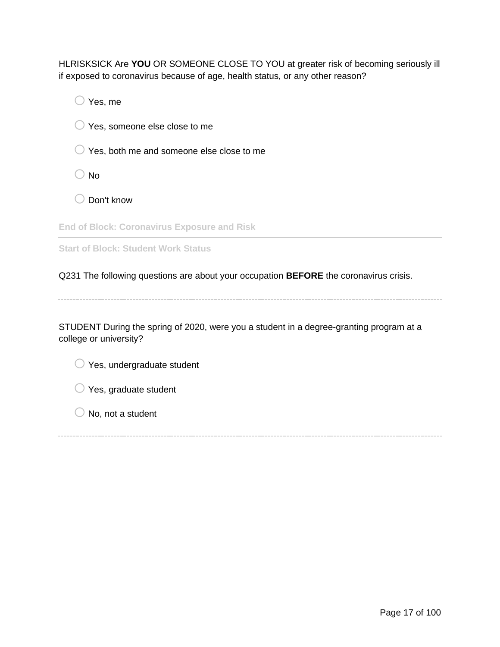HLRISKSICK Are **YOU** OR SOMEONE CLOSE TO YOU at greater risk of becoming seriously ill if exposed to coronavirus because of age, health status, or any other reason?

 $\bigcirc$  Yes, me  $\bigcirc$  Yes, someone else close to me  $\bigcirc$  Yes, both me and someone else close to me  $\bigcirc$  No  $\bigcirc$  Don't know

**End of Block: Coronavirus Exposure and Risk**

**Start of Block: Student Work Status**

Q231 The following questions are about your occupation **BEFORE** the coronavirus crisis.

STUDENT During the spring of 2020, were you a student in a degree-granting program at a college or university?

 $\bigcirc$  Yes, undergraduate student

 $\bigcirc$  Yes, graduate student

 $\bigcirc$  No, not a student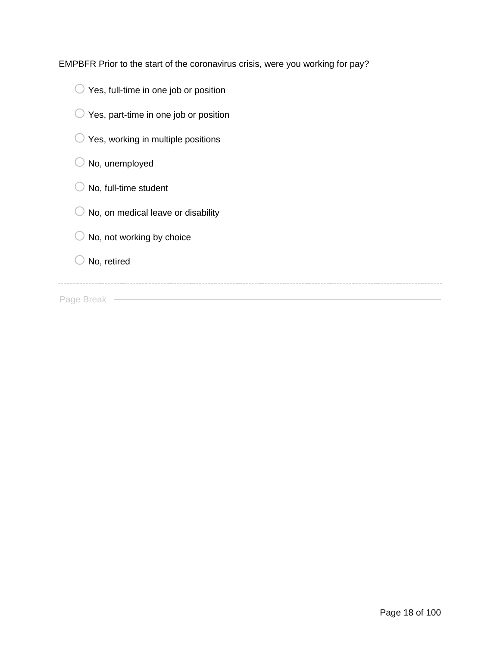EMPBFR Prior to the start of the coronavirus crisis, were you working for pay?

- $\bigcirc$  Yes, full-time in one job or position
- $\bigcirc$  Yes, part-time in one job or position
- $\bigcirc$  Yes, working in multiple positions
- $\bigcirc$  No, unemployed
- $\bigcirc$  No, full-time student
- $\bigcirc$  No, on medical leave or disability
- $\bigcirc$  No, not working by choice

 $\bigcirc$  No, retired

the control of the control of the control of the control of the control of

Page Break –––––––––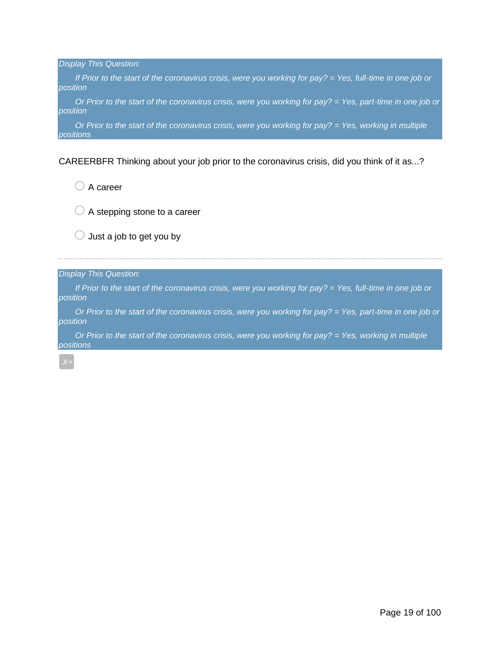*Display This Question:*

*If Prior to the start of the coronavirus crisis, were you working for pay? = Yes, full-time in one job or position*

*Or Prior to the start of the coronavirus crisis, were you working for pay? = Yes, part-time in one job or position*

*Or Prior to the start of the coronavirus crisis, were you working for pay? = Yes, working in multiple positions*

CAREERBFR Thinking about your job prior to the coronavirus crisis, did you think of it as...?

 $\bigcirc$  A career

 $\bigcirc$  A stepping stone to a career

 $\bigcirc$  Just a job to get you by

*Display This Question:*

*If Prior to the start of the coronavirus crisis, were you working for pay? = Yes, full-time in one job or position*

*Or Prior to the start of the coronavirus crisis, were you working for pay? = Yes, part-time in one job or position*

*Or Prior to the start of the coronavirus crisis, were you working for pay? = Yes, working in multiple positions*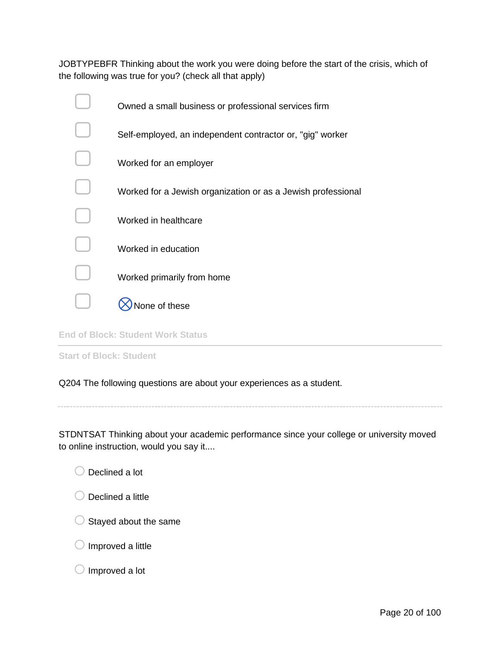JOBTYPEBFR Thinking about the work you were doing before the start of the crisis, which of the following was true for you? (check all that apply)

| Owned a small business or professional services firm         |  |  |  |  |
|--------------------------------------------------------------|--|--|--|--|
| Self-employed, an independent contractor or, "gig" worker    |  |  |  |  |
| Worked for an employer                                       |  |  |  |  |
| Worked for a Jewish organization or as a Jewish professional |  |  |  |  |
| Worked in healthcare                                         |  |  |  |  |
| Worked in education                                          |  |  |  |  |
| Worked primarily from home                                   |  |  |  |  |
| e of these                                                   |  |  |  |  |
|                                                              |  |  |  |  |

**End of Block: Student Work Status**

**Start of Block: Student**

Q204 The following questions are about your experiences as a student.

STDNTSAT Thinking about your academic performance since your college or university moved to online instruction, would you say it....

| $\bigcirc$ Declined a lot |
|---------------------------|

| $\bigcirc$ Declined a little |
|------------------------------|

- $\bigcirc$  Stayed about the same
- $\bigcirc$  Improved a little

 $\bigcirc$  Improved a lot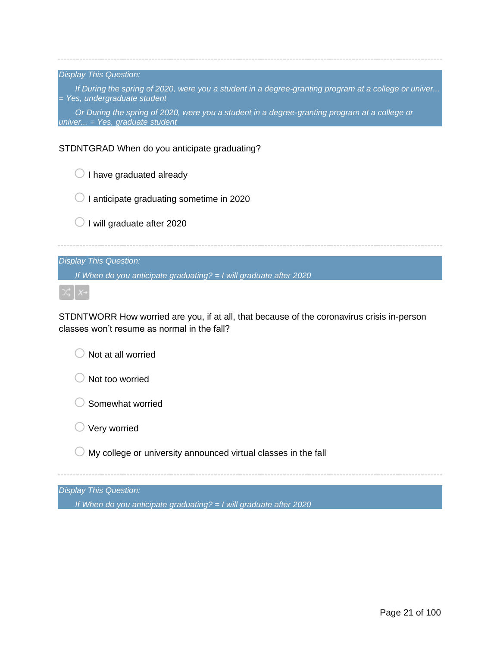*Display This Question: If During the spring of 2020, were you a student in a degree-granting program at a college or univer... = Yes, undergraduate student Or During the spring of 2020, were you a student in a degree-granting program at a college or univer... = Yes, graduate student* STDNTGRAD When do you anticipate graduating?  $\bigcirc$  I have graduated already  $\bigcirc$  I anticipate graduating sometime in 2020  $\bigcirc$  I will graduate after 2020

*Display This Question: If When do you anticipate graduating? = I will graduate after 2020*

STDNTWORR How worried are you, if at all, that because of the coronavirus crisis in-person classes won't resume as normal in the fall?

 $\bigcirc$  Not at all worried

 $\bigcirc$  Not too worried

 $\bigcirc$  Somewhat worried

 $\bigcirc$  Very worried

 $\bigcirc$  My college or university announced virtual classes in the fall

*Display This Question:*

*If When do you anticipate graduating? = I will graduate after 2020*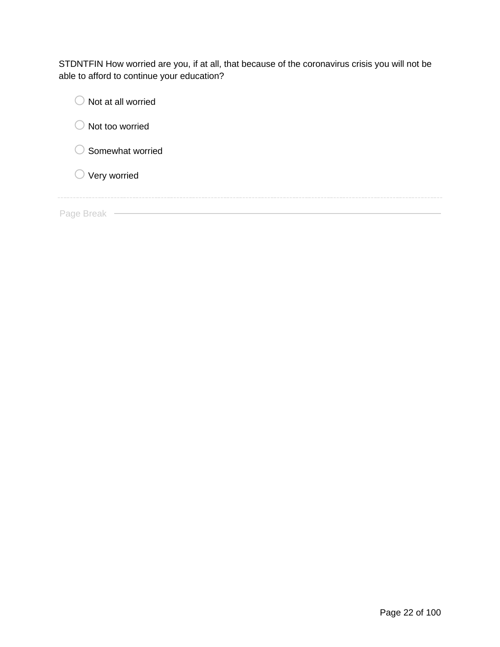STDNTFIN How worried are you, if at all, that because of the coronavirus crisis you will not be able to afford to continue your education?

| Not at all worried   |
|----------------------|
| Not too worried      |
| Somewhat worried     |
| Very worried<br>k. J |
|                      |
| Page Br<br>عاجم״     |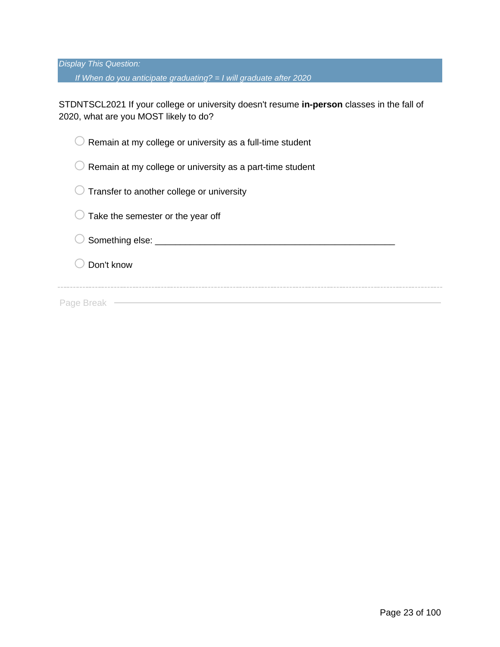*Display This Question:*

*If When do you anticipate graduating? = I will graduate after 2020*

STDNTSCL2021 If your college or university doesn't resume **in-person** classes in the fall of 2020, what are you MOST likely to do?

| Remain at my college or university as a full-time student |
|-----------------------------------------------------------|
| Remain at my college or university as a part-time student |
| Transfer to another college or university                 |
| Take the semester or the year off                         |
| Something else: __                                        |
| Don't know                                                |
|                                                           |
|                                                           |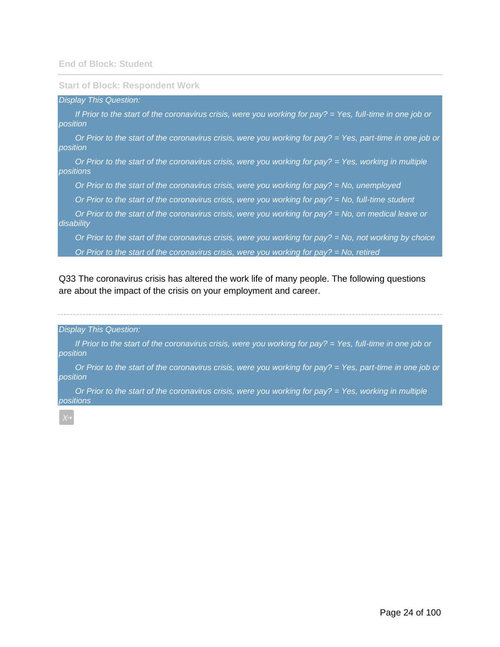### **End of Block: Student**

**Start of Block: Respondent Work**

*Display This Question: If Prior to the start of the coronavirus crisis, were you working for pay? = Yes, full-time in one job or position Or Prior to the start of the coronavirus crisis, were you working for pay? = Yes, part-time in one job or position Or Prior to the start of the coronavirus crisis, were you working for pay? = Yes, working in multiple positions Or Prior to the start of the coronavirus crisis, were you working for pay? = No, unemployed Or Prior to the start of the coronavirus crisis, were you working for pay? = No, full-time student Or Prior to the start of the coronavirus crisis, were you working for pay? = No, on medical leave or* 

*Or Prior to the start of the coronavirus crisis, were you working for pay? = No, not working by choice Or Prior to the start of the coronavirus crisis, were you working for pay? = No, retired*

Q33 The coronavirus crisis has altered the work life of many people. The following questions are about the impact of the crisis on your employment and career.

#### *Display This Question:*

*If Prior to the start of the coronavirus crisis, were you working for pay? = Yes, full-time in one job or position*

*Or Prior to the start of the coronavirus crisis, were you working for pay? = Yes, part-time in one job or position*

*Or Prior to the start of the coronavirus crisis, were you working for pay? = Yes, working in multiple positions*

*disability*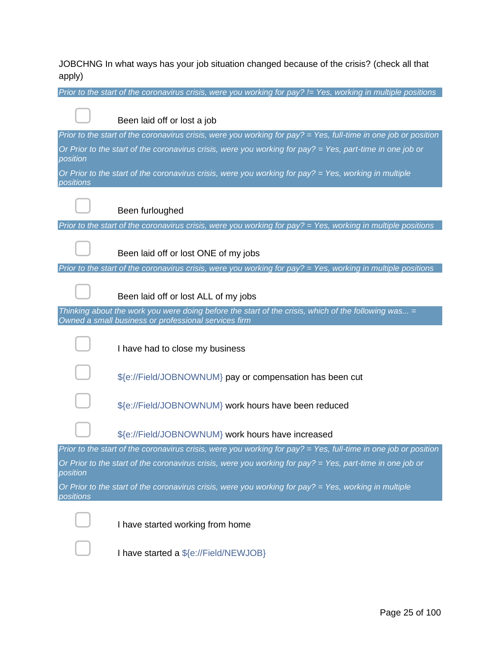JOBCHNG In what ways has your job situation changed because of the crisis? (check all that apply)

|           | Prior to the start of the coronavirus crisis, were you working for pay? $=$ Yes, working in multiple positions                                                |
|-----------|---------------------------------------------------------------------------------------------------------------------------------------------------------------|
|           | Been laid off or lost a job                                                                                                                                   |
|           | Prior to the start of the coronavirus crisis, were you working for pay? = Yes, full-time in one job or position                                               |
| position  | Or Prior to the start of the coronavirus crisis, were you working for pay? = Yes, part-time in one job or                                                     |
| positions | Or Prior to the start of the coronavirus crisis, were you working for pay? $=$ Yes, working in multiple                                                       |
|           | Been furloughed                                                                                                                                               |
|           | Prior to the start of the coronavirus crisis, were you working for pay? = Yes, working in multiple positions                                                  |
|           | Been laid off or lost ONE of my jobs                                                                                                                          |
|           | Prior to the start of the coronavirus crisis, were you working for $pay? = Yes$ , working in multiple positions                                               |
|           | Been laid off or lost ALL of my jobs                                                                                                                          |
|           | Thinking about the work you were doing before the start of the crisis, which of the following was $=$<br>Owned a small business or professional services firm |
|           | I have had to close my business                                                                                                                               |
|           | \${e://Field/JOBNOWNUM} pay or compensation has been cut                                                                                                      |
|           | \${e://Field/JOBNOWNUM} work hours have been reduced                                                                                                          |
|           | \${e://Field/JOBNOWNUM} work hours have increased                                                                                                             |
|           | Prior to the start of the coronavirus crisis, were you working for pay? = Yes, full-time in one job or position                                               |
| position  | Or Prior to the start of the coronavirus crisis, were you working for pay? = Yes, part-time in one job or                                                     |
| positions | Or Prior to the start of the coronavirus crisis, were you working for pay? = Yes, working in multiple                                                         |
|           | I have started working from home                                                                                                                              |
|           | I have started a \${e://Field/NEWJOB}                                                                                                                         |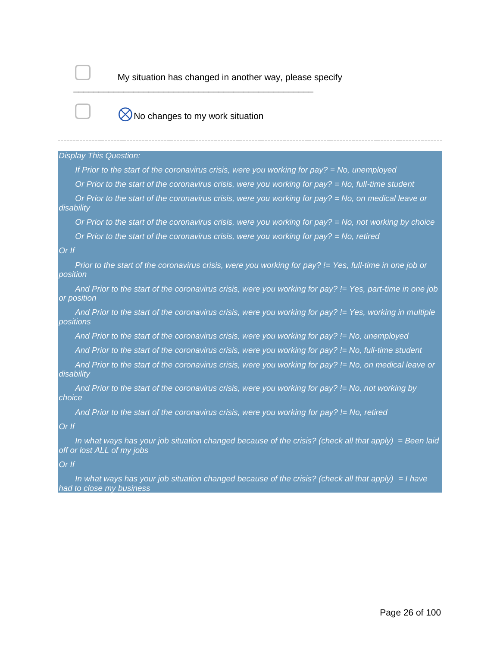

My situation has changed in another way, please specify

# $\bigotimes$ No changes to my work situation

\_\_\_\_\_\_\_\_\_\_\_\_\_\_\_\_\_\_\_\_\_\_\_\_\_\_\_\_\_\_\_\_\_\_\_\_\_\_\_\_\_\_\_\_\_\_\_\_

#### *Display This Question:*

*If Prior to the start of the coronavirus crisis, were you working for pay? = No, unemployed*

*Or Prior to the start of the coronavirus crisis, were you working for pay? = No, full-time student*

*Or Prior to the start of the coronavirus crisis, were you working for pay? = No, on medical leave or disability*

*Or Prior to the start of the coronavirus crisis, were you working for pay? = No, not working by choice*

*Or Prior to the start of the coronavirus crisis, were you working for pay? = No, retired*

#### *Or If*

*Prior to the start of the coronavirus crisis, were you working for pay? != Yes, full-time in one job or position*

*And Prior to the start of the coronavirus crisis, were you working for pay? != Yes, part-time in one job or position*

*And Prior to the start of the coronavirus crisis, were you working for pay? != Yes, working in multiple positions*

*And Prior to the start of the coronavirus crisis, were you working for pay? != No, unemployed*

*And Prior to the start of the coronavirus crisis, were you working for pay? != No, full-time student*

*And Prior to the start of the coronavirus crisis, were you working for pay? != No, on medical leave or disability*

*And Prior to the start of the coronavirus crisis, were you working for pay? != No, not working by choice*

*And Prior to the start of the coronavirus crisis, were you working for pay? != No, retired*

#### *Or If*

*In what ways has your job situation changed because of the crisis? (check all that apply) = Been laid off or lost ALL of my jobs*

#### *Or If*

*In what ways has your job situation changed because of the crisis? (check all that apply) = I have had to close my business*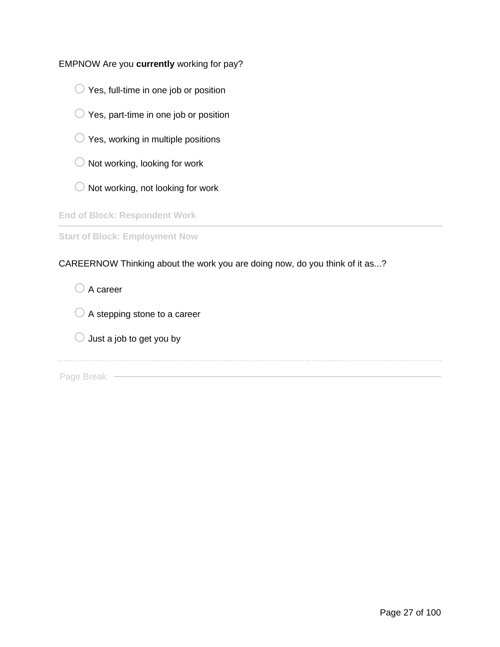# EMPNOW Are you **currently** working for pay?

- $\bigcirc$  Yes, full-time in one job or position
- $\bigcirc$  Yes, part-time in one job or position
- $\bigcirc$  Yes, working in multiple positions
- $\bigcirc$  Not working, looking for work
- $\bigcirc$  Not working, not looking for work

**End of Block: Respondent Work**

**Start of Block: Employment Now**

CAREERNOW Thinking about the work you are doing now, do you think of it as...?

 $\bigcirc$  A career

 $\bigcirc$  A stepping stone to a career

 $\bigcirc$  Just a job to get you by

Page Break —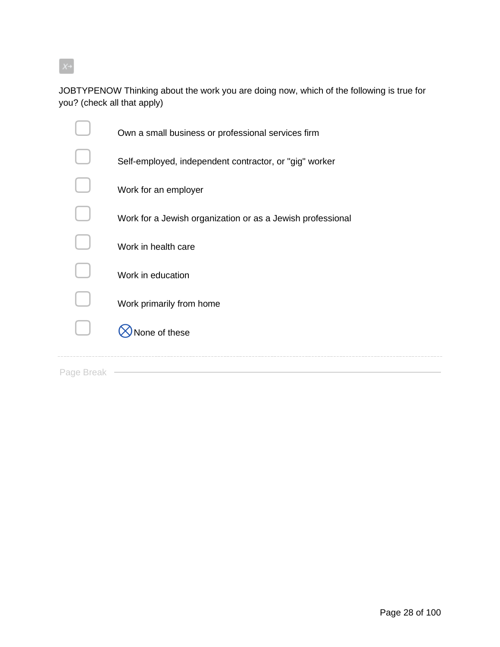$X \rightarrow$ 

JOBTYPENOW Thinking about the work you are doing now, which of the following is true for you? (check all that apply)

|           | Own a small business or professional services firm         |  |  |  |  |
|-----------|------------------------------------------------------------|--|--|--|--|
|           | Self-employed, independent contractor, or "gig" worker     |  |  |  |  |
|           | Work for an employer                                       |  |  |  |  |
|           | Work for a Jewish organization or as a Jewish professional |  |  |  |  |
|           | Work in health care                                        |  |  |  |  |
|           | Work in education                                          |  |  |  |  |
|           | Work primarily from home                                   |  |  |  |  |
|           | lone of these                                              |  |  |  |  |
| Page Brea |                                                            |  |  |  |  |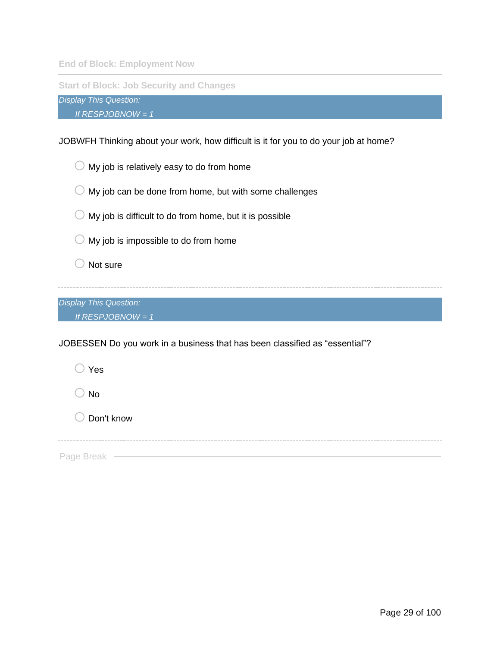**End of Block: Employment Now**

**Start of Block: Job Security and Changes**

*Display This Question:*

*If RESPJOBNOW = 1*

JOBWFH Thinking about your work, how difficult is it for you to do your job at home?



- $\bigcirc$  My job can be done from home, but with some challenges
- $\bigcirc$  My job is difficult to do from home, but it is possible
- $\bigcirc$  My job is impossible to do from home

 $\bigcirc$  Not sure

*Display This Question: If RESPJOBNOW = 1*

JOBESSEN Do you work in a business that has been classified as "essential"?

 $\bigcirc$  Yes

 $\bigcirc$  No

 $\bigcirc$  Don't know

Page Break -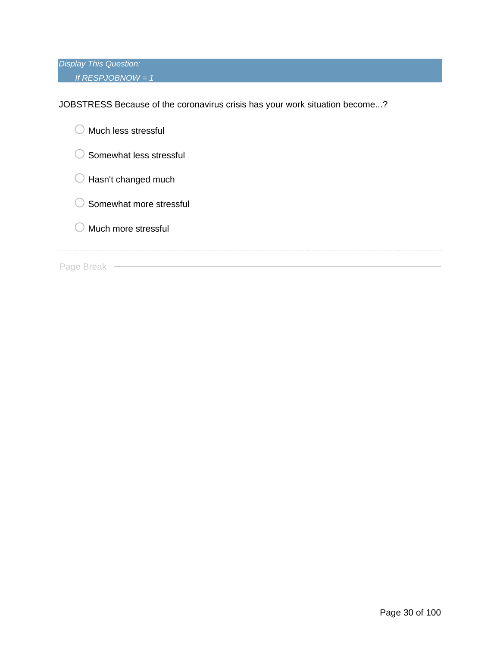*Display This Question: If RESPJOBNOW = 1*

JOBSTRESS Because of the coronavirus crisis has your work situation become...?

 $\bigcirc$  Much less stressful  $\bigcirc$  Somewhat less stressful  $\bigcirc$  Hasn't changed much  $\bigcirc$  Somewhat more stressful  $\bigcirc$  Much more stressful Page Break —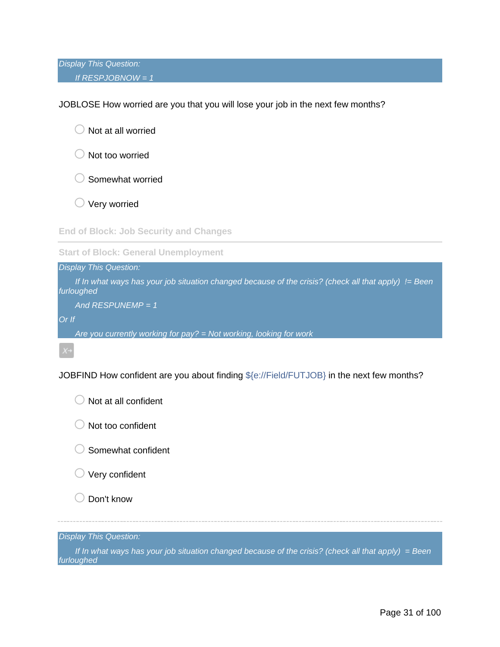*Display This Question: If RESPJOBNOW = 1*

JOBLOSE How worried are you that you will lose your job in the next few months?

 $\bigcirc$  Not at all worried

 $\bigcirc$  Not too worried

o Somewhat worried

 $\bigcirc$  Very worried

**End of Block: Job Security and Changes**

**Start of Block: General Unemployment**

*Display This Question: If In what ways has your job situation changed because of the crisis? (check all that apply) != Been furloughed And RESPUNEMP = 1 Or If*

*Are you currently working for pay? = Not working, looking for work*

JOBFIND How confident are you about finding \${e://Field/FUTJOB} in the next few months?



*If In what ways has your job situation changed because of the crisis? (check all that apply) = Been furloughed*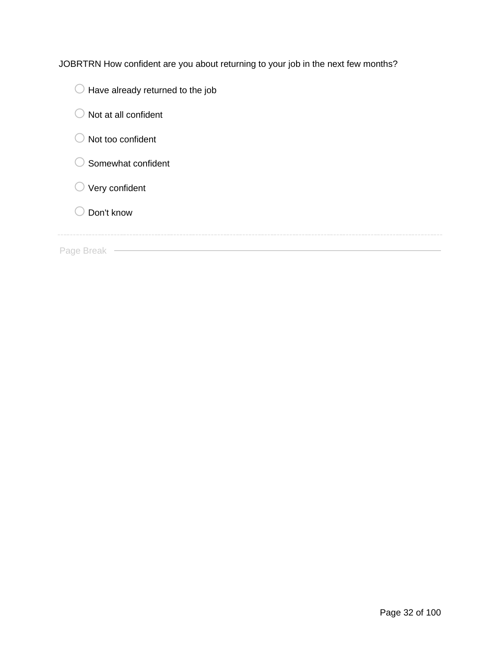JOBRTRN How confident are you about returning to your job in the next few months?

 $\bigcirc$  Have already returned to the job

 $\bigcirc$  Not at all confident

 $\bigcirc$  Not too confident

- $\bigcirc$  Somewhat confident
- $\bigcirc$  Very confident
- O Don't know

Page Break –––––––––––––––––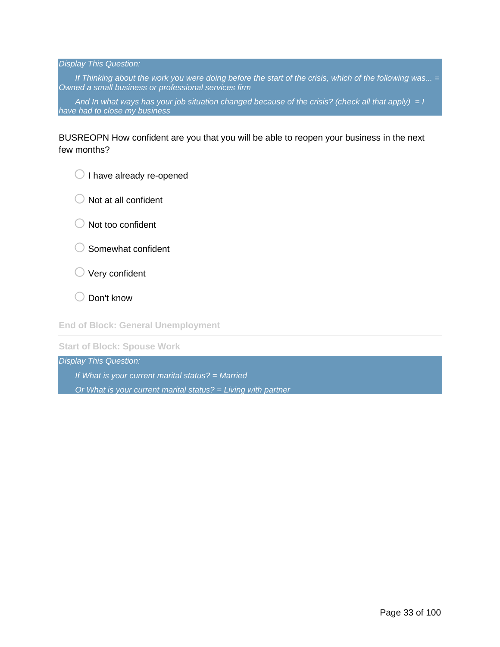#### *Display This Question:*

*If Thinking about the work you were doing before the start of the crisis, which of the following was... = Owned a small business or professional services firm*

*And In what ways has your job situation changed because of the crisis? (check all that apply) = I have had to close my business*

## BUSREOPN How confident are you that you will be able to reopen your business in the next few months?

 $\bigcirc$  I have already re-opened

 $\bigcirc$  Not at all confident

- $\bigcirc$  Not too confident
- $\bigcirc$  Somewhat confident
- $\bigcirc$  Very confident
- $\bigcirc$  Don't know

**End of Block: General Unemployment**

**Start of Block: Spouse Work**

*Display This Question:*

*If What is your current marital status? = Married*

*Or What is your current marital status? = Living with partner*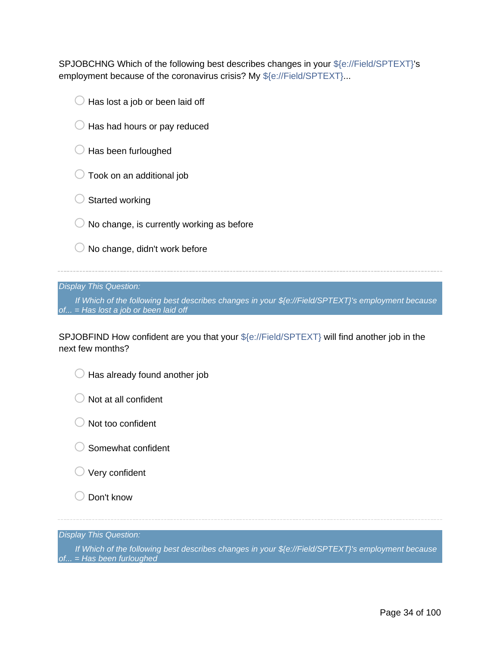SPJOBCHNG Which of the following best describes changes in your \${e://Field/SPTEXT}'s employment because of the coronavirus crisis? My \${e://Field/SPTEXT}...

- $\bigcirc$  Has lost a job or been laid off
- $\bigcirc$  Has had hours or pay reduced
- $\bigcirc$  Has been furloughed
- $\bigcirc$  Took on an additional job
- $\bigcirc$  Started working
- $\bigcirc$  No change, is currently working as before
- $\bigcirc$  No change, didn't work before

*Display This Question:*

*If Which of the following best describes changes in your \${e://Field/SPTEXT}'s employment because of... = Has lost a job or been laid off*

SPJOBFIND How confident are you that your \${e://Field/SPTEXT} will find another job in the next few months?

|  | $\bigcirc$ Has already found another job |  |  |
|--|------------------------------------------|--|--|

 $\bigcirc$  Not at all confident

- $\bigcirc$  Not too confident
- $\bigcirc$  Somewhat confident
- $\bigcirc$  Very confident
- $\bigcirc$  Don't know

*Display This Question:*

*If Which of the following best describes changes in your \${e://Field/SPTEXT}'s employment because of... = Has been furloughed*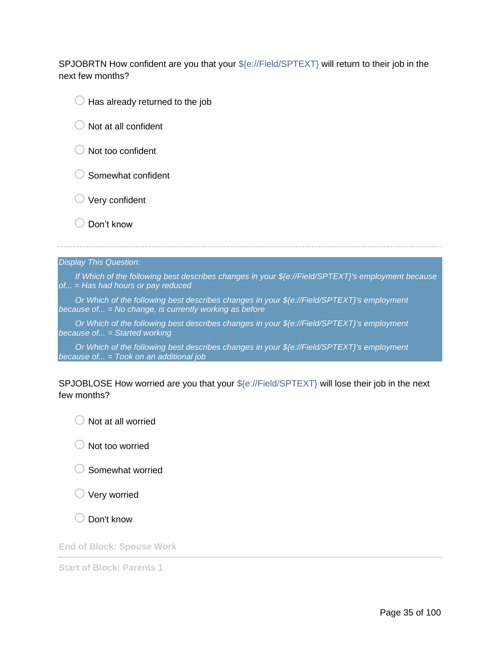SPJOBRTN How confident are you that your \${e://Field/SPTEXT} will return to their job in the next few months?

- $\Box$  Has already returned to the job
- $\bigcirc$  Not at all confident
- $\bigcirc$  Not too confident
- $\bigcirc$  Somewhat confident
- $\bigcirc$  Very confident
- $\bigcirc$  Don't know

#### *Display This Question:*

*If Which of the following best describes changes in your \${e://Field/SPTEXT}'s employment because of... = Has had hours or pay reduced*

*Or Which of the following best describes changes in your \${e://Field/SPTEXT}'s employment because of... = No change, is currently working as before*

*Or Which of the following best describes changes in your \${e://Field/SPTEXT}'s employment because of... = Started working*

*Or Which of the following best describes changes in your \${e://Field/SPTEXT}'s employment because of... = Took on an additional job*

## SPJOBLOSE How worried are you that your \${e://Field/SPTEXT} will lose their job in the next few months?

 $\bigcirc$  Not at all worried

 $\bigcirc$  Not too worried

o Somewhat worried

 $\bigcirc$  Very worried

Don't know

**End of Block: Spouse Work**

**Start of Block: Parents 1**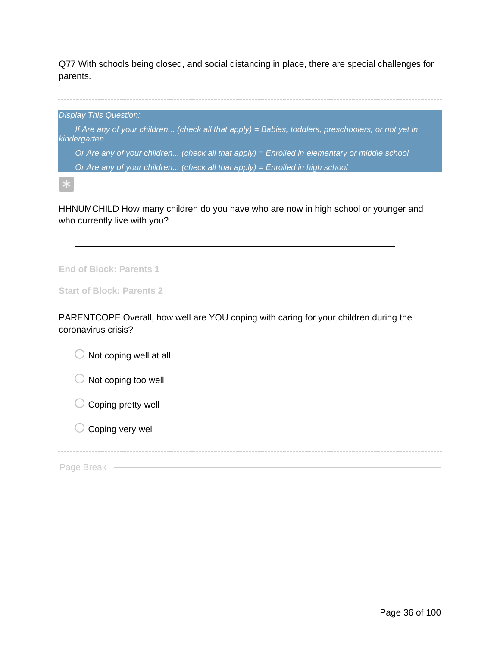Q77 With schools being closed, and social distancing in place, there are special challenges for parents.



 $\ast$ 

HHNUMCHILD How many children do you have who are now in high school or younger and who currently live with you?

\_\_\_\_\_\_\_\_\_\_\_\_\_\_\_\_\_\_\_\_\_\_\_\_\_\_\_\_\_\_\_\_\_\_\_\_\_\_\_\_\_\_\_\_\_\_\_\_\_\_\_\_\_\_\_\_\_\_\_\_\_\_\_\_

**End of Block: Parents 1**

**Start of Block: Parents 2**

PARENTCOPE Overall, how well are YOU coping with caring for your children during the coronavirus crisis?

 $\bigcirc$  Not coping well at all

 $\bigcirc$  Not coping too well

 $\bigcirc$  Coping pretty well

 $\bigcirc$  Coping very well

Page Break -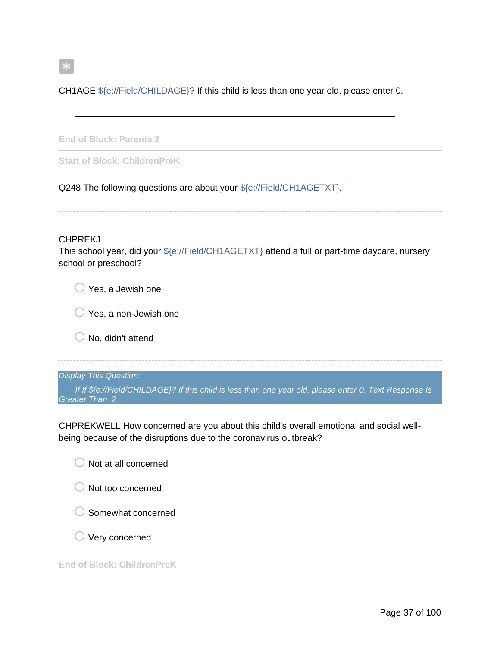$\left| \cdot \right|$ 

CH1AGE \${e://Field/CHILDAGE}? If this child is less than one year old, please enter 0.

\_\_\_\_\_\_\_\_\_\_\_\_\_\_\_\_\_\_\_\_\_\_\_\_\_\_\_\_\_\_\_\_\_\_\_\_\_\_\_\_\_\_\_\_\_\_\_\_\_\_\_\_\_\_\_\_\_\_\_\_\_\_\_\_

**End of Block: Parents 2**

**Start of Block: ChildrenPreK**

Q248 The following questions are about your \${e://Field/CH1AGETXT}.

CHPREKJ

This school year, did your \${e://Field/CH1AGETXT} attend a full or part-time daycare, nursery school or preschool?

 $\bigcirc$  Yes, a Jewish one

 $\bigcirc$  Yes, a non-Jewish one

 $\bigcirc$  No, didn't attend

#### *Display This Question:*

*If If \${e://Field/CHILDAGE}? If this child is less than one year old, please enter 0. Text Response Is Greater Than 2*

CHPREKWELL How concerned are you about this child's overall emotional and social wellbeing because of the disruptions due to the coronavirus outbreak?

|        | Not at all concerned          |
|--------|-------------------------------|
| $(\ )$ | Not too concerned             |
|        | $\bigcirc$ Somewhat concerned |
|        | $\bigcirc$ Very concerned     |
|        |                               |

**End of Block: ChildrenPreK**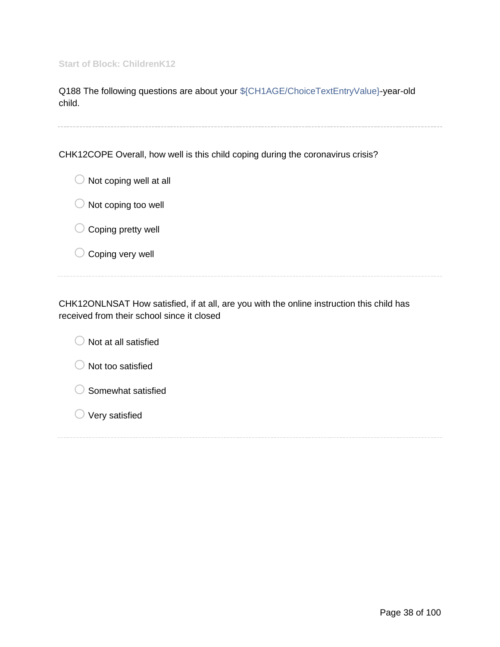Q188 The following questions are about your \${CH1AGE/ChoiceTextEntryValue}-year-old child.

CHK12COPE Overall, how well is this child coping during the coronavirus crisis?

| Not coping well at all         |
|--------------------------------|
| $\bigcirc$ Not coping too well |
| $\bigcirc$ Coping pretty well  |
| $\bigcirc$ Coping very well    |

CHK12ONLNSAT How satisfied, if at all, are you with the online instruction this child has received from their school since it closed

|               | Not at all satisfied |  |  |
|---------------|----------------------|--|--|
|               | Not too satisfied    |  |  |
|               | Somewhat satisfied   |  |  |
| $\mathcal{L}$ | Very satisfied       |  |  |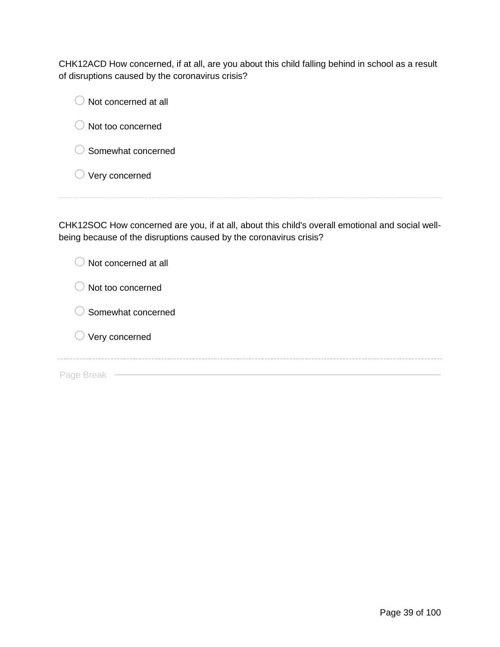CHK12ACD How concerned, if at all, are you about this child falling behind in school as a result of disruptions caused by the coronavirus crisis?

| Not concerned at all |  |  |
|----------------------|--|--|
| Not too concerned    |  |  |
| Somewhat concerned   |  |  |
| Very concerned       |  |  |
|                      |  |  |

CHK12SOC How concerned are you, if at all, about this child's overall emotional and social wellbeing because of the disruptions caused by the coronavirus crisis?

| Not concerned at all<br>in l |  |
|------------------------------|--|
| Not too concerned            |  |
| Somewhat concerned<br>$\sim$ |  |
| $\bigcirc$ Very concerned    |  |
| Page Break                   |  |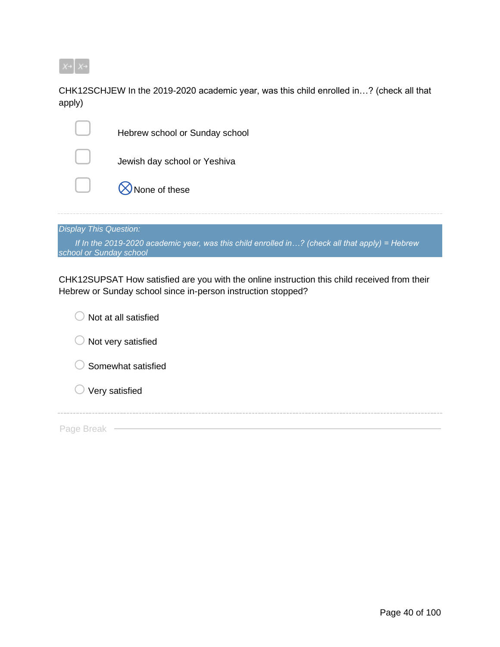

CHK12SCHJEW In the 2019-2020 academic year, was this child enrolled in…? (check all that apply)

|                               | Hebrew school or Sunday school                                                                 |
|-------------------------------|------------------------------------------------------------------------------------------------|
|                               | Jewish day school or Yeshiva                                                                   |
|                               | None of these                                                                                  |
|                               |                                                                                                |
| <b>Display This Question:</b> |                                                                                                |
|                               | If In the 2019-2020 academic year, was this child enrolled in? (check all that apply) = Hebrew |

*school or Sunday school*

CHK12SUPSAT How satisfied are you with the online instruction this child received from their Hebrew or Sunday school since in-person instruction stopped?

| Not at all satisfied |  |
|----------------------|--|
| Not very satisfied   |  |
| Somewhat satisfied   |  |
| Very satisfied       |  |
|                      |  |
| Page Break           |  |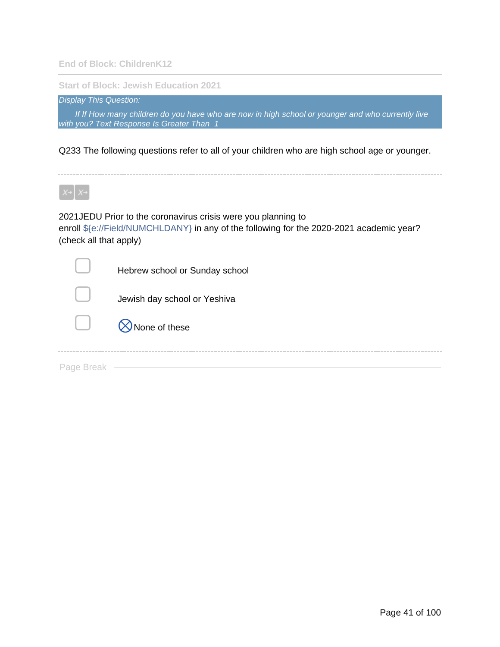**End of Block: ChildrenK12**

**Start of Block: Jewish Education 2021**

*Display This Question:*

*If If How many children do you have who are now in high school or younger and who currently live with you? Text Response Is Greater Than 1*

Q233 The following questions refer to all of your children who are high school age or younger.



2021JEDU Prior to the coronavirus crisis were you planning to enroll \${e://Field/NUMCHLDANY} in any of the following for the 2020-2021 academic year? (check all that apply)

|            | Hebrew school or Sunday school |  |  |  |
|------------|--------------------------------|--|--|--|
| $\Box$     | Jewish day school or Yeshiva   |  |  |  |
| $\Box$     | <b>None of these</b>           |  |  |  |
| Page Break |                                |  |  |  |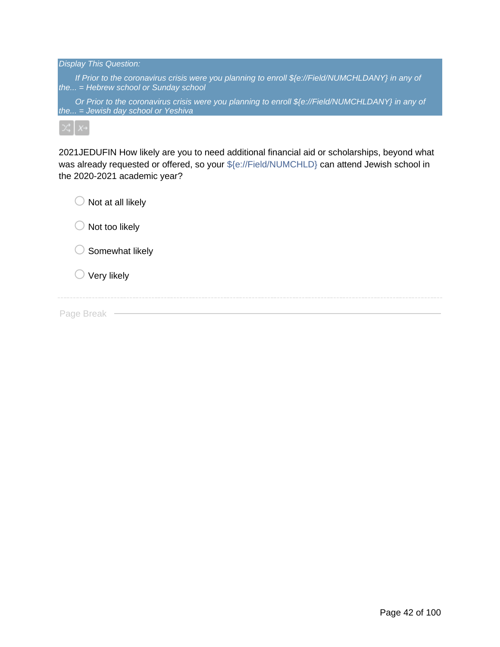| <b>Display This Question:</b>                                                                                                                                                                                                |
|------------------------------------------------------------------------------------------------------------------------------------------------------------------------------------------------------------------------------|
| If Prior to the coronavirus crisis were you planning to enroll \${e://Field/NUMCHLDANY} in any of<br>the $=$ Hebrew school or Sunday school                                                                                  |
| Or Prior to the coronavirus crisis were you planning to enroll $\frac{E}{\epsilon}$ ://Field/NUMCHLDANY} in any of<br>the = Jewish day school or Yeshiva                                                                     |
|                                                                                                                                                                                                                              |
| 2021 JEDUFIN How likely are you to need additional financial aid or scholarships, beyond what<br>was already requested or offered, so your \${e://Field/NUMCHLD} can attend Jewish school in<br>the 2020-2021 academic year? |
| Not at all likely                                                                                                                                                                                                            |
| Not too likely                                                                                                                                                                                                               |
| Somewhat likely                                                                                                                                                                                                              |

 $\bigcirc$  Very likely

Page Break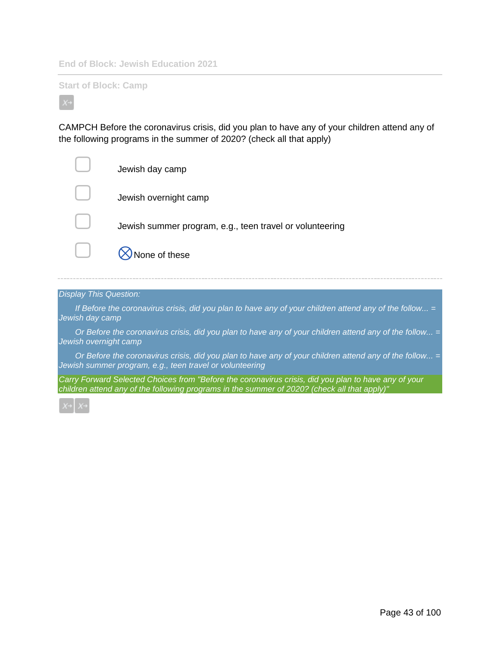**End of Block: Jewish Education 2021**

**Start of Block: Camp**

CAMPCH Before the coronavirus crisis, did you plan to have any of your children attend any of the following programs in the summer of 2020? (check all that apply)

| Jewish day camp                                          |
|----------------------------------------------------------|
| Jewish overnight camp                                    |
| Jewish summer program, e.g., teen travel or volunteering |
| None of these                                            |

### *Display This Question:*

*If Before the coronavirus crisis, did you plan to have any of your children attend any of the follow... = Jewish day camp*

*Or Before the coronavirus crisis, did you plan to have any of your children attend any of the follow... = Jewish overnight camp*

*Or Before the coronavirus crisis, did you plan to have any of your children attend any of the follow... = Jewish summer program, e.g., teen travel or volunteering*

*Carry Forward Selected Choices from "Before the coronavirus crisis, did you plan to have any of your children attend any of the following programs in the summer of 2020? (check all that apply)"*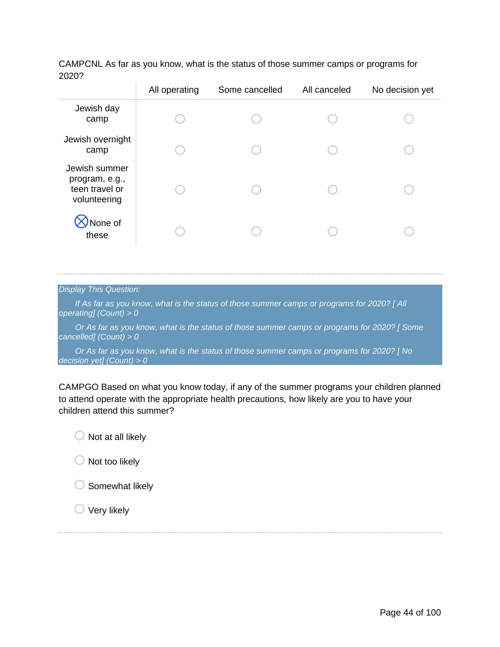|                                                                   | All operating | Some cancelled | All canceled | No decision yet |
|-------------------------------------------------------------------|---------------|----------------|--------------|-----------------|
| Jewish day<br>camp                                                |               |                |              |                 |
| Jewish overnight<br>camp                                          |               |                |              |                 |
| Jewish summer<br>program, e.g.,<br>teen travel or<br>volunteering |               |                |              |                 |
| None of<br>these                                                  |               |                |              |                 |

CAMPCNL As far as you know, what is the status of those summer camps or programs for 2020?

### *Display This Question:*

*If As far as you know, what is the status of those summer camps or programs for 2020? [ All operating] (Count) > 0*

*Or As far as you know, what is the status of those summer camps or programs for 2020? [ Some cancelled] (Count) > 0*

*Or As far as you know, what is the status of those summer camps or programs for 2020? [ No decision yet] (Count) > 0*

CAMPGO Based on what you know today, if any of the summer programs your children planned to attend operate with the appropriate health precautions, how likely are you to have your children attend this summer?

 $\bigcirc$  Not at all likely

- $\bigcirc$  Not too likely
- $\bigcirc$  Somewhat likely
- $\bigcirc$  Very likely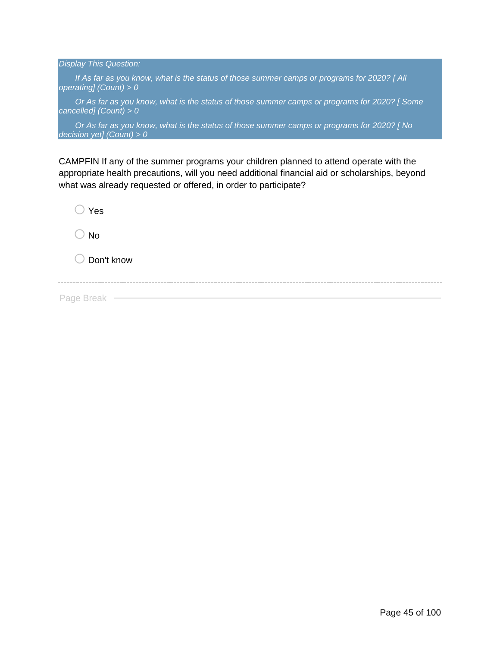| <b>Display This Question:</b>                                                                                            |
|--------------------------------------------------------------------------------------------------------------------------|
| If As far as you know, what is the status of those summer camps or programs for 2020? [All<br>operating] (Count) > $0_1$ |
| Or As far as you know, what is the status of those summer camps or programs for 2020? [ Some<br>cancelled] $(Count) > 0$ |
| Or As far as you know, what is the status of those summer camps or programs for 2020? [No<br>decision yet] (Count) $> 0$ |

CAMPFIN If any of the summer programs your children planned to attend operate with the appropriate health precautions, will you need additional financial aid or scholarships, beyond what was already requested or offered, in order to participate?

| $\supset$ Yes |  |  |
|---------------|--|--|
| )No           |  |  |
| O Don't know  |  |  |
|               |  |  |
| Page Break    |  |  |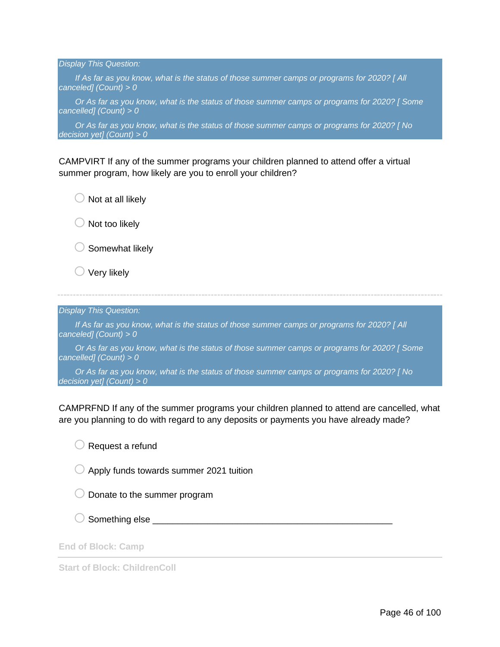*Display This Question:*

*If As far as you know, what is the status of those summer camps or programs for 2020? [ All canceled] (Count) > 0*

*Or As far as you know, what is the status of those summer camps or programs for 2020? [ Some cancelled] (Count) > 0*

*Or As far as you know, what is the status of those summer camps or programs for 2020? [ No decision yet] (Count) > 0*

CAMPVIRT If any of the summer programs your children planned to attend offer a virtual summer program, how likely are you to enroll your children?

 $\bigcirc$  Not at all likely

 $\bigcirc$  Not too likely

 $\bigcirc$  Somewhat likely

 $\bigcirc$  Very likely

### *Display This Question:*

*If As far as you know, what is the status of those summer camps or programs for 2020? [ All canceled] (Count) > 0*

*Or As far as you know, what is the status of those summer camps or programs for 2020? [ Some cancelled] (Count) > 0*

*Or As far as you know, what is the status of those summer camps or programs for 2020? [ No decision yet] (Count) > 0*

CAMPRFND If any of the summer programs your children planned to attend are cancelled, what are you planning to do with regard to any deposits or payments you have already made?

| Request a refund                        |  |
|-----------------------------------------|--|
| Apply funds towards summer 2021 tuition |  |
| Donate to the summer program            |  |
| Something else                          |  |

**End of Block: Camp**

**Start of Block: ChildrenColl**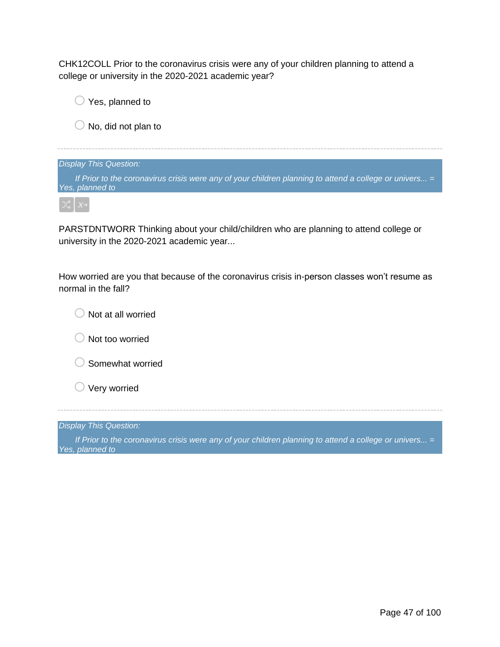CHK12COLL Prior to the coronavirus crisis were any of your children planning to attend a college or university in the 2020-2021 academic year?

 $\bigcirc$  Yes, planned to  $\bigcirc$  No, did not plan to *Display This Question: If Prior to the coronavirus crisis were any of your children planning to attend a college or univers... = Yes, planned to*

PARSTDNTWORR Thinking about your child/children who are planning to attend college or university in the 2020-2021 academic year...

How worried are you that because of the coronavirus crisis in-person classes won't resume as normal in the fall?

 $\bigcirc$  Not at all worried  $\bigcirc$  Not too worried  $\bigcirc$  Somewhat worried  $\bigcirc$  Very worried *Display This Question: If Prior to the coronavirus crisis were any of your children planning to attend a college or univers... =* 

*Yes, planned to*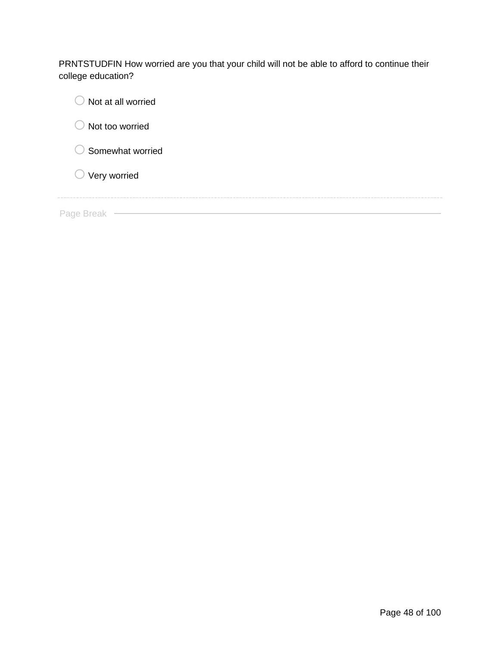PRNTSTUDFIN How worried are you that your child will not be able to afford to continue their college education?

| $\bigcirc$ Not at all worried |  |
|-------------------------------|--|
| Not too worried               |  |
| Somewhat worried              |  |
| $\bigcirc$ Very worried       |  |
|                               |  |
| Page Break                    |  |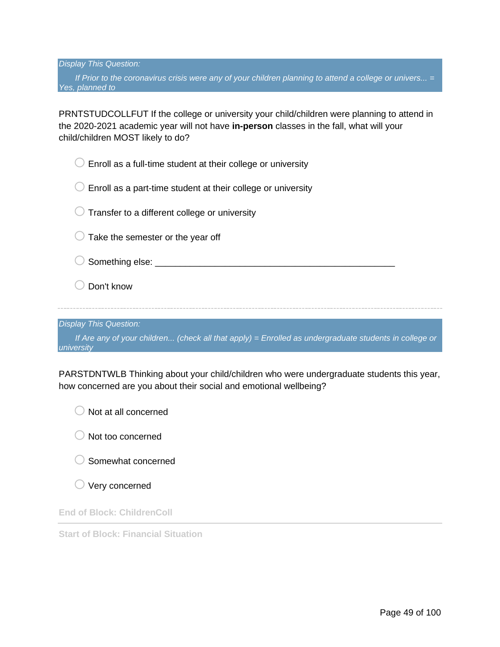*Display This Question:*

*If Prior to the coronavirus crisis were any of your children planning to attend a college or univers...* = *Yes, planned to*

PRNTSTUDCOLLFUT If the college or university your child/children were planning to attend in the 2020-2021 academic year will not have **in-person** classes in the fall, what will your child/children MOST likely to do?

 $\bigcirc$  Enroll as a full-time student at their college or university

 $\bigcirc$  Enroll as a part-time student at their college or university

 $\bigcirc$  Transfer to a different college or university

 $\bigcirc$  Take the semester or the year off

 $\bigcirc$  Something else:  $\bigcirc$ 

o Don't know

*Display This Question:*

*If Are any of your children... (check all that apply) = Enrolled as undergraduate students in college or university*

PARSTDNTWLB Thinking about your child/children who were undergraduate students this year, how concerned are you about their social and emotional wellbeing?

 $\bigcirc$  Not at all concerned

 $\bigcirc$  Not too concerned

- $\bigcirc$  Somewhat concerned
- $\bigcirc$  Very concerned

**End of Block: ChildrenColl**

**Start of Block: Financial Situation**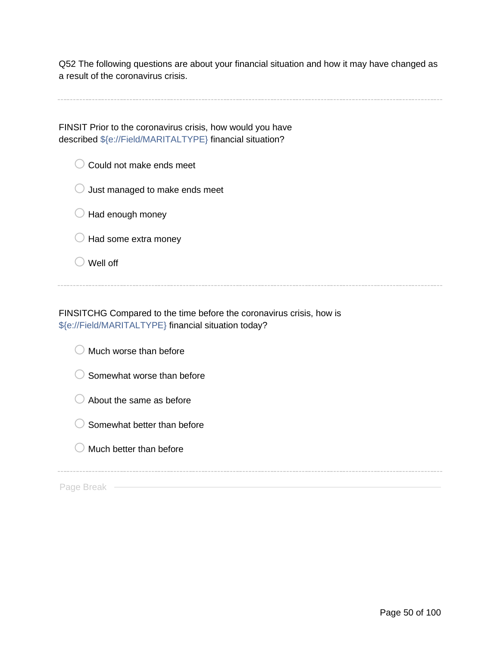Q52 The following questions are about your financial situation and how it may have changed as a result of the coronavirus crisis.

FINSIT Prior to the coronavirus crisis, how would you have described \${e://Field/MARITALTYPE} financial situation?

 $\bigcirc$  Could not make ends meet

 $\bigcirc$  Just managed to make ends meet

 $\bigcirc$  Had enough money

 $\bigcirc$  Had some extra money

 $\bigcirc$  Well off

FINSITCHG Compared to the time before the coronavirus crisis, how is \${e://Field/MARITALTYPE} financial situation today?

 $\bigcirc$  Much worse than before

 $\bigcirc$  Somewhat worse than before

 $\bigcirc$  About the same as before

 $\bigcirc$  Somewhat better than before

 $\bigcirc$  Much better than before

Page Break –––––––––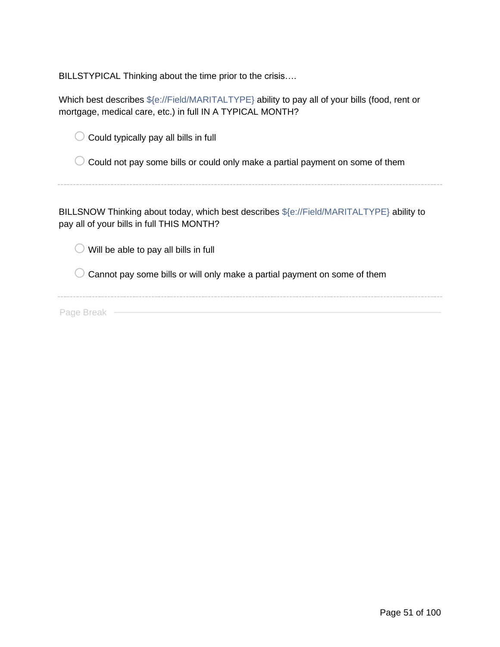BILLSTYPICAL Thinking about the time prior to the crisis….

Which best describes  $$(e://Field/MARITALTYPE)$  ability to pay all of your bills (food, rent or mortgage, medical care, etc.) in full IN A TYPICAL MONTH?

| Could typically pay all bills in full                                                                                                 |
|---------------------------------------------------------------------------------------------------------------------------------------|
| Could not pay some bills or could only make a partial payment on some of them                                                         |
|                                                                                                                                       |
| BILLSNOW Thinking about today, which best describes \${e://Field/MARITALTYPE} ability to<br>pay all of your bills in full THIS MONTH? |
| Will be able to pay all bills in full                                                                                                 |
| Cannot pay some bills or will only make a partial payment on some of them                                                             |
|                                                                                                                                       |
| Page Brea                                                                                                                             |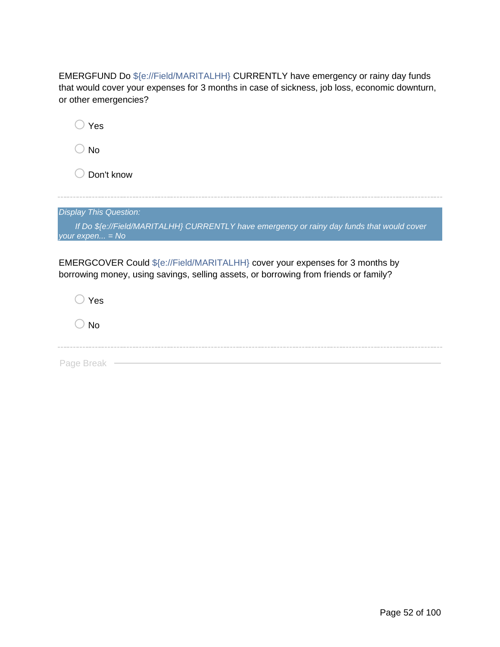EMERGFUND Do \${e://Field/MARITALHH} CURRENTLY have emergency or rainy day funds that would cover your expenses for 3 months in case of sickness, job loss, economic downturn, or other emergencies?

| Yes                                                                                                                                                                  |
|----------------------------------------------------------------------------------------------------------------------------------------------------------------------|
| No                                                                                                                                                                   |
| Don't know                                                                                                                                                           |
|                                                                                                                                                                      |
| <b>Display This Question:</b>                                                                                                                                        |
| If Do \${e://Field/MARITALHH} CURRENTLY have emergency or rainy day funds that would cover<br>your $expen = No$                                                      |
|                                                                                                                                                                      |
| EMERGCOVER Could \${e://Field/MARITALHH} cover your expenses for 3 months by<br>borrowing money, using savings, selling assets, or borrowing from friends or family? |
| Yes                                                                                                                                                                  |
| N٥                                                                                                                                                                   |

Page Break -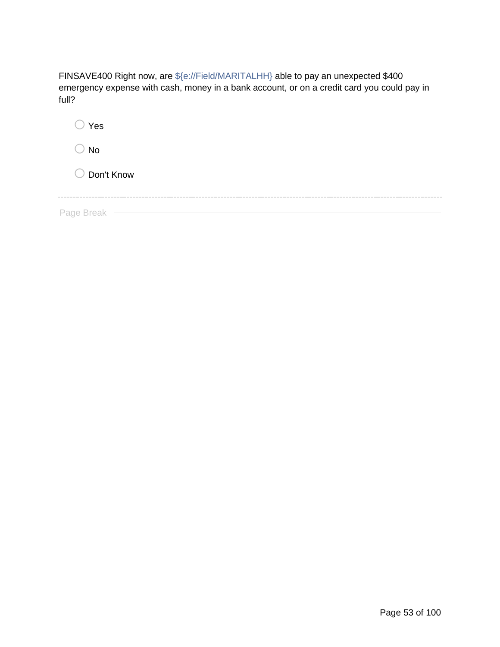FINSAVE400 Right now, are \${e://Field/MARITALHH} able to pay an unexpected \$400 emergency expense with cash, money in a bank account, or on a credit card you could pay in full?

| $\bigcirc$ Yes |  |  |  |
|----------------|--|--|--|
| )No            |  |  |  |
| O Don't Know   |  |  |  |
|                |  |  |  |
| Page Break     |  |  |  |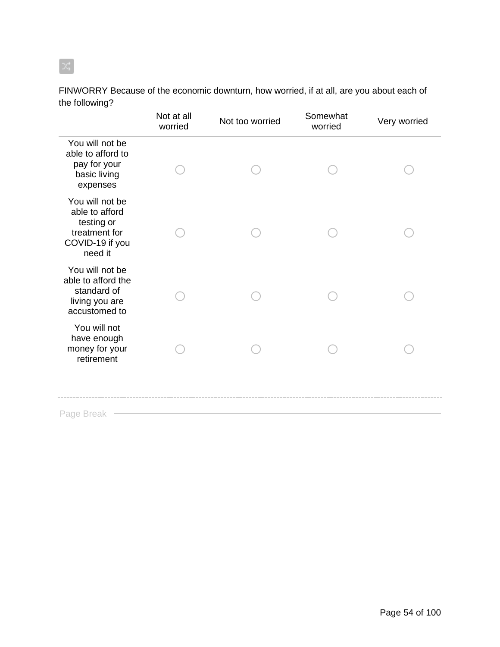# FINWORRY Because of the economic downturn, how worried, if at all, are you about each of the following?

|                                                                                                | Not at all<br>worried | Not too worried | Somewhat<br>worried | Very worried |
|------------------------------------------------------------------------------------------------|-----------------------|-----------------|---------------------|--------------|
| You will not be<br>able to afford to<br>pay for your<br>basic living<br>expenses               |                       |                 |                     |              |
| You will not be<br>able to afford<br>testing or<br>treatment for<br>COVID-19 if you<br>need it |                       |                 |                     |              |
| You will not be<br>able to afford the<br>standard of<br>living you are<br>accustomed to        |                       |                 |                     |              |
| You will not<br>have enough<br>money for your<br>retirement                                    |                       |                 |                     |              |
|                                                                                                |                       |                 |                     |              |

Page Break —

 $\left[\infty\right]$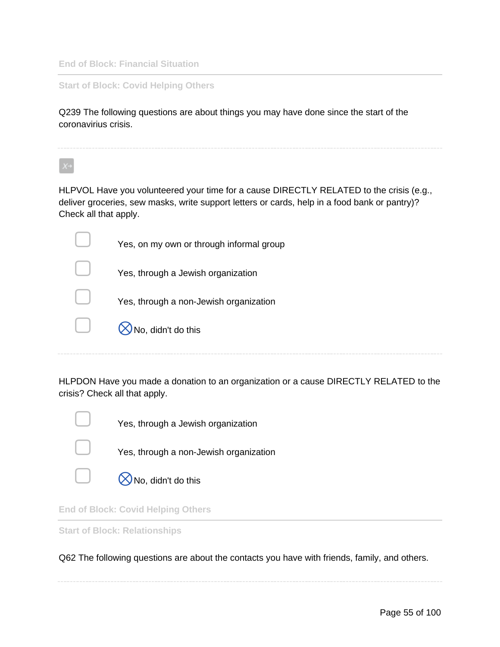**End of Block: Financial Situation**

**Start of Block: Covid Helping Others**

Q239 The following questions are about things you may have done since the start of the coronavirius crisis.

HLPVOL Have you volunteered your time for a cause DIRECTLY RELATED to the crisis (e.g., deliver groceries, sew masks, write support letters or cards, help in a food bank or pantry)? Check all that apply.

|        | Yes, on my own or through informal group |
|--------|------------------------------------------|
|        | Yes, through a Jewish organization       |
|        | Yes, through a non-Jewish organization   |
| $\Box$ | $\bigotimes$ No, didn't do this          |
|        |                                          |

HLPDON Have you made a donation to an organization or a cause DIRECTLY RELATED to the crisis? Check all that apply.



Yes, through a Jewish organization

Yes, through a non-Jewish organization



 $\bigotimes$ No, didn't do this

**End of Block: Covid Helping Others**

**Start of Block: Relationships**

Q62 The following questions are about the contacts you have with friends, family, and others.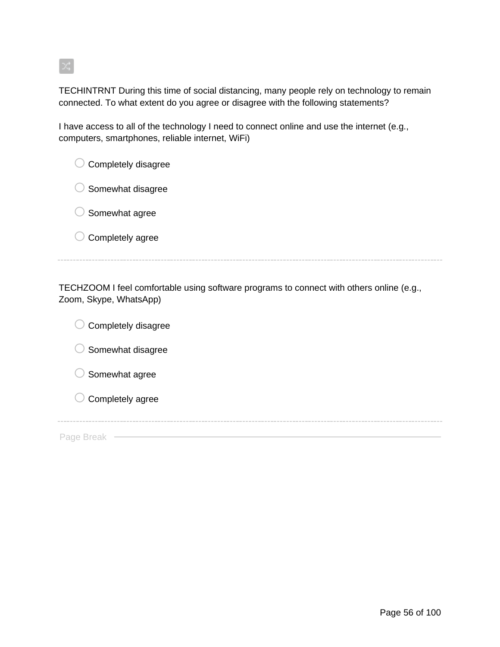$\propto$ 

TECHINTRNT During this time of social distancing, many people rely on technology to remain connected. To what extent do you agree or disagree with the following statements?

I have access to all of the technology I need to connect online and use the internet (e.g., computers, smartphones, reliable internet, WiFi)

 $\bigcirc$  Completely disagree

 $\bigcirc$  Somewhat disagree

 $\bigcirc$  Somewhat agree

 $\bigcirc$  Completely agree

TECHZOOM I feel comfortable using software programs to connect with others online (e.g., Zoom, Skype, WhatsApp)

| Completely disagree |
|---------------------|
| Somewhat disagree   |
| Somewhat agree      |
| Completely agree    |
| Page Break          |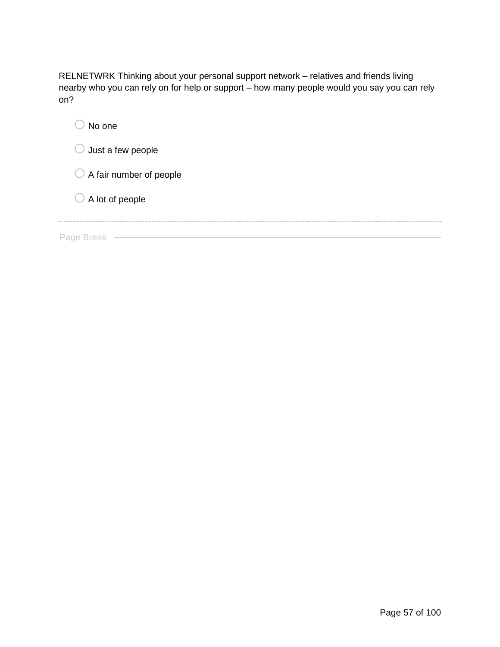RELNETWRK Thinking about your personal support network – relatives and friends living nearby who you can rely on for help or support – how many people would you say you can rely on?

|    | No one                             |
|----|------------------------------------|
| e. | Just a few people                  |
|    | $\bigcirc$ A fair number of people |
|    | $\bigcirc$ A lot of people         |
|    | Page Break                         |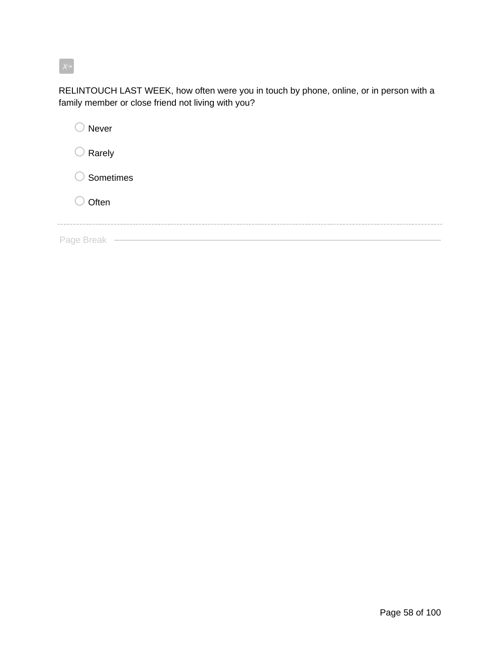$X \rightarrow$ 

RELINTOUCH LAST WEEK, how often were you in touch by phone, online, or in person with a family member or close friend not living with you?

| Never            |  |  |
|------------------|--|--|
| $\supset$ Rarely |  |  |
| Sometimes        |  |  |
| Often            |  |  |
| Page Break       |  |  |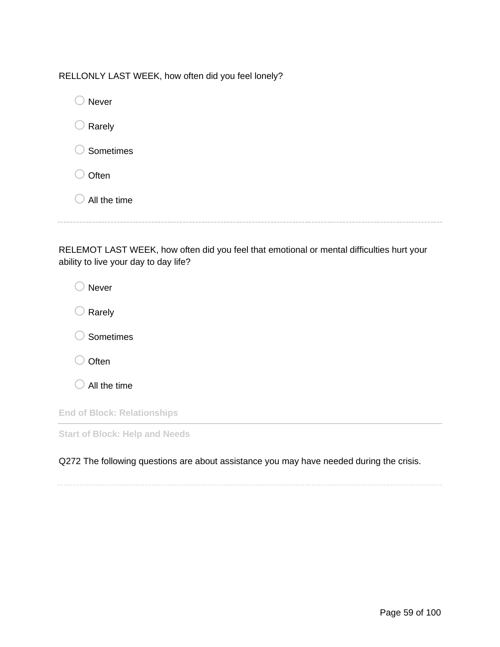RELLONLY LAST WEEK, how often did you feel lonely?

| Never        |  |
|--------------|--|
| Rarely       |  |
| Sometimes    |  |
| Often        |  |
| All the time |  |
|              |  |

RELEMOT LAST WEEK, how often did you feel that emotional or mental difficulties hurt your ability to live your day to day life?

| Never                              |  |
|------------------------------------|--|
| $\bigcirc$ Rarely                  |  |
| $\bigcirc$ Sometimes               |  |
| Often<br>$($ )                     |  |
| $\bigcirc$ All the time            |  |
| <b>End of Block: Relationships</b> |  |

**Start of Block: Help and Needs**

 $\sim$   $-$ 

Q272 The following questions are about assistance you may have needed during the crisis.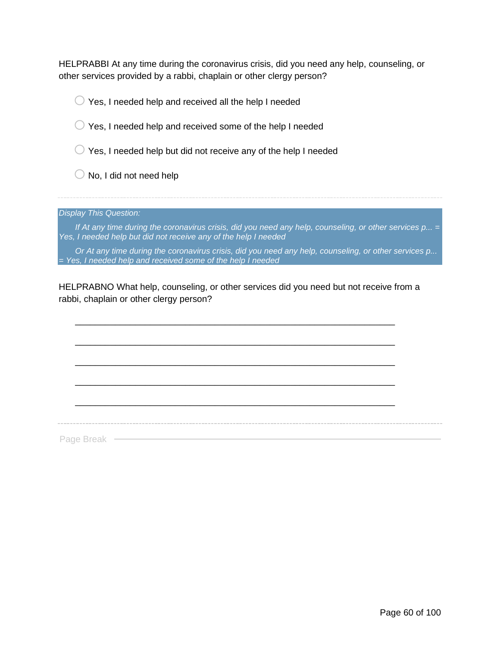HELPRABBI At any time during the coronavirus crisis, did you need any help, counseling, or other services provided by a rabbi, chaplain or other clergy person?

 $\bigcirc$  Yes, I needed help and received all the help I needed  $\bigcirc$  Yes, I needed help and received some of the help I needed  $\bigcirc$  Yes, I needed help but did not receive any of the help I needed  $\bigcirc$  No, I did not need help *Display This Question: If At any time during the coronavirus crisis, did you need any help, counseling, or other services p... = Yes, I needed help but did not receive any of the help I needed*

*Or At any time during the coronavirus crisis, did you need any help, counseling, or other services p... = Yes, I needed help and received some of the help I needed*

HELPRABNO What help, counseling, or other services did you need but not receive from a rabbi, chaplain or other clergy person?

\_\_\_\_\_\_\_\_\_\_\_\_\_\_\_\_\_\_\_\_\_\_\_\_\_\_\_\_\_\_\_\_\_\_\_\_\_\_\_\_\_\_\_\_\_\_\_\_\_\_\_\_\_\_\_\_\_\_\_\_\_\_\_\_

\_\_\_\_\_\_\_\_\_\_\_\_\_\_\_\_\_\_\_\_\_\_\_\_\_\_\_\_\_\_\_\_\_\_\_\_\_\_\_\_\_\_\_\_\_\_\_\_\_\_\_\_\_\_\_\_\_\_\_\_\_\_\_\_ \_\_\_\_\_\_\_\_\_\_\_\_\_\_\_\_\_\_\_\_\_\_\_\_\_\_\_\_\_\_\_\_\_\_\_\_\_\_\_\_\_\_\_\_\_\_\_\_\_\_\_\_\_\_\_\_\_\_\_\_\_\_\_\_ \_\_\_\_\_\_\_\_\_\_\_\_\_\_\_\_\_\_\_\_\_\_\_\_\_\_\_\_\_\_\_\_\_\_\_\_\_\_\_\_\_\_\_\_\_\_\_\_\_\_\_\_\_\_\_\_\_\_\_\_\_\_\_\_ \_\_\_\_\_\_\_\_\_\_\_\_\_\_\_\_\_\_\_\_\_\_\_\_\_\_\_\_\_\_\_\_\_\_\_\_\_\_\_\_\_\_\_\_\_\_\_\_\_\_\_\_\_\_\_\_\_\_\_\_\_\_\_\_ Page Break -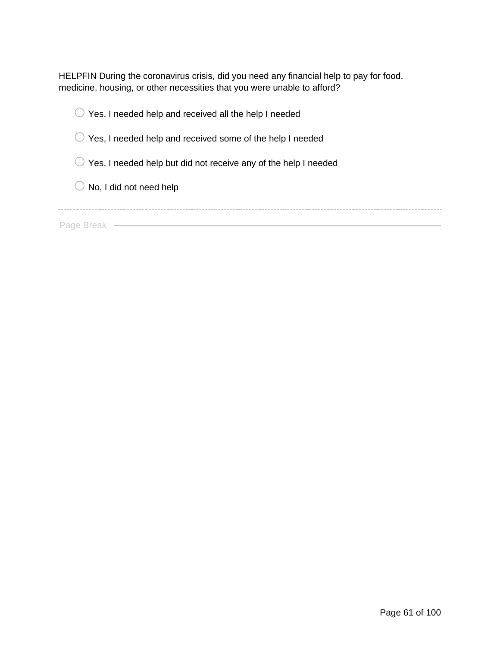HELPFIN During the coronavirus crisis, did you need any financial help to pay for food, medicine, housing, or other necessities that you were unable to afford?

 $\bigcirc$  Yes, I needed help and received all the help I needed  $\bigcirc$  Yes, I needed help and received some of the help I needed  $\bigcirc$  Yes, I needed help but did not receive any of the help I needed  $\bigcirc$  No, I did not need help Page Break -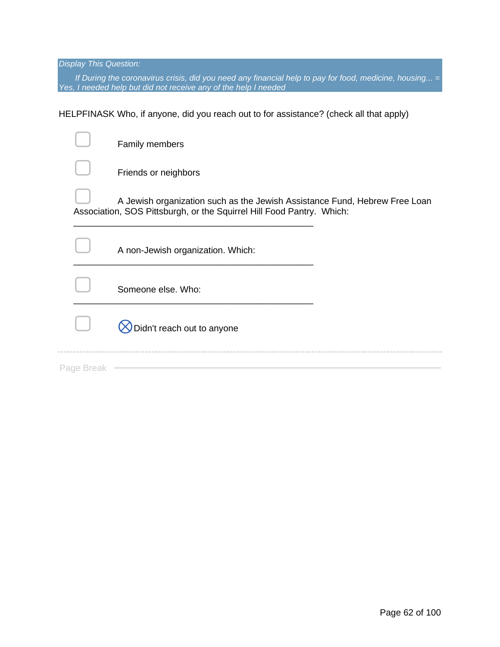*Display This Question:*

*If During the coronavirus crisis, did you need any financial help to pay for food, medicine, housing... = Yes, I needed help but did not receive any of the help I needed*

HELPFINASK Who, if anyone, did you reach out to for assistance? (check all that apply)

|            | Family members                                                                                                                                      |  |
|------------|-----------------------------------------------------------------------------------------------------------------------------------------------------|--|
|            | Friends or neighbors                                                                                                                                |  |
|            | A Jewish organization such as the Jewish Assistance Fund, Hebrew Free Loan<br>Association, SOS Pittsburgh, or the Squirrel Hill Food Pantry. Which: |  |
|            | A non-Jewish organization. Which:                                                                                                                   |  |
|            | Someone else. Who:                                                                                                                                  |  |
|            | Didn't reach out to anyone                                                                                                                          |  |
| Page Break |                                                                                                                                                     |  |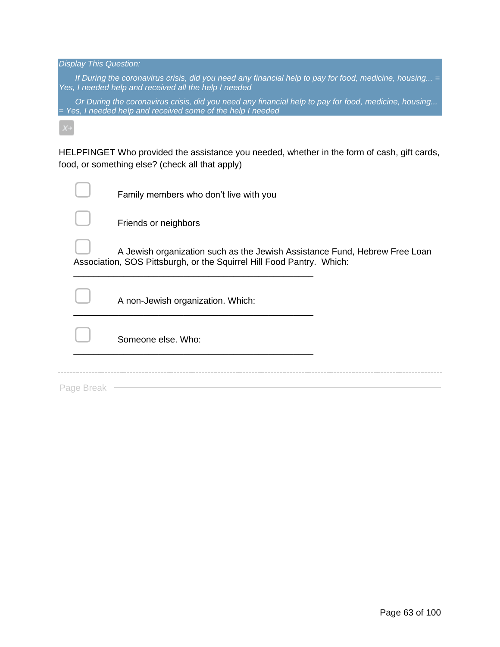*Display This Question: If During the coronavirus crisis, did you need any financial help to pay for food, medicine, housing... = Yes, I needed help and received all the help I needed Or During the coronavirus crisis, did you need any financial help to pay for food, medicine, housing... = Yes, I needed help and received some of the help I needed*

HELPFINGET Who provided the assistance you needed, whether in the form of cash, gift cards, food, or something else? (check all that apply)

|        | Family members who don't live with you                                                                                                              |  |
|--------|-----------------------------------------------------------------------------------------------------------------------------------------------------|--|
|        | Friends or neighbors                                                                                                                                |  |
|        | A Jewish organization such as the Jewish Assistance Fund, Hebrew Free Loan<br>Association, SOS Pittsburgh, or the Squirrel Hill Food Pantry. Which: |  |
|        | A non-Jewish organization. Which:                                                                                                                   |  |
|        | Someone else, Who:                                                                                                                                  |  |
| Page E |                                                                                                                                                     |  |

÷.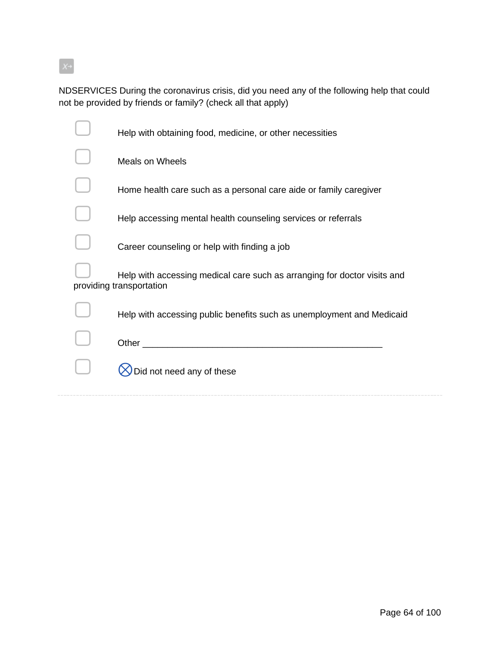$X \rightarrow$ 

NDSERVICES During the coronavirus crisis, did you need any of the following help that could not be provided by friends or family? (check all that apply)

| Help with obtaining food, medicine, or other necessities                                             |
|------------------------------------------------------------------------------------------------------|
| Meals on Wheels                                                                                      |
| Home health care such as a personal care aide or family caregiver                                    |
| Help accessing mental health counseling services or referrals                                        |
| Career counseling or help with finding a job                                                         |
| Help with accessing medical care such as arranging for doctor visits and<br>providing transportation |
| Help with accessing public benefits such as unemployment and Medicaid                                |
| Other                                                                                                |
| Did not need any of these                                                                            |
|                                                                                                      |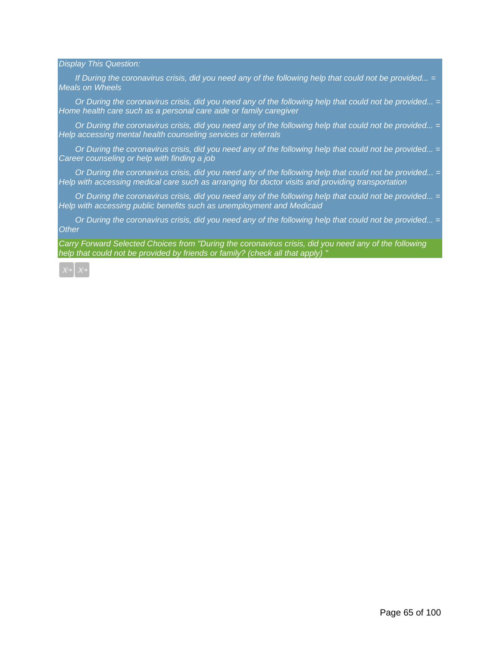*Display This Question:*

*If During the coronavirus crisis, did you need any of the following help that could not be provided... = Meals on Wheels*

*Or During the coronavirus crisis, did you need any of the following help that could not be provided... = Home health care such as a personal care aide or family caregiver*

*Or During the coronavirus crisis, did you need any of the following help that could not be provided... = Help accessing mental health counseling services or referrals*

*Or During the coronavirus crisis, did you need any of the following help that could not be provided... = Career counseling or help with finding a job*

*Or During the coronavirus crisis, did you need any of the following help that could not be provided... = Help with accessing medical care such as arranging for doctor visits and providing transportation*

*Or During the coronavirus crisis, did you need any of the following help that could not be provided... = Help with accessing public benefits such as unemployment and Medicaid*

*Or During the coronavirus crisis, did you need any of the following help that could not be provided... = Other*

*Carry Forward Selected Choices from "During the coronavirus crisis, did you need any of the following help that could not be provided by friends or family? (check all that apply) "*

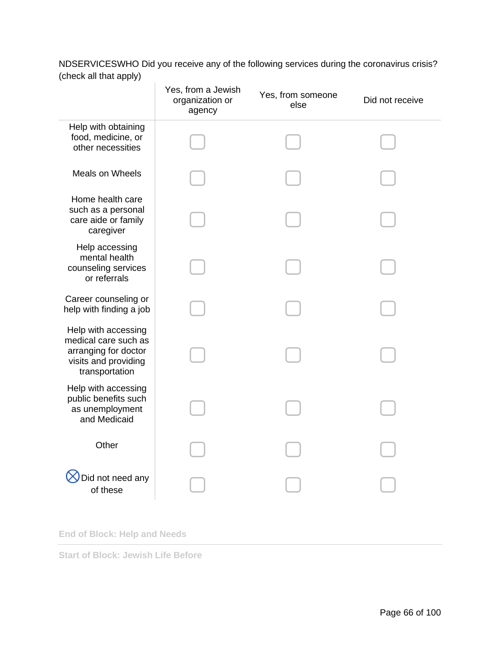NDSERVICESWHO Did you receive any of the following services during the coronavirus crisis? (check all that apply)

|                                                                                                               | Yes, from a Jewish<br>organization or<br>agency | Yes, from someone<br>else | Did not receive |
|---------------------------------------------------------------------------------------------------------------|-------------------------------------------------|---------------------------|-----------------|
| Help with obtaining<br>food, medicine, or<br>other necessities                                                |                                                 |                           |                 |
| <b>Meals on Wheels</b>                                                                                        |                                                 |                           |                 |
| Home health care<br>such as a personal<br>care aide or family<br>caregiver                                    |                                                 |                           |                 |
| Help accessing<br>mental health<br>counseling services<br>or referrals                                        |                                                 |                           |                 |
| Career counseling or<br>help with finding a job                                                               |                                                 |                           |                 |
| Help with accessing<br>medical care such as<br>arranging for doctor<br>visits and providing<br>transportation |                                                 |                           |                 |
| Help with accessing<br>public benefits such<br>as unemployment<br>and Medicaid                                |                                                 |                           |                 |
| Other                                                                                                         |                                                 |                           |                 |
| Did not need any<br>of these                                                                                  |                                                 |                           |                 |

**End of Block: Help and Needs**

**Start of Block: Jewish Life Before**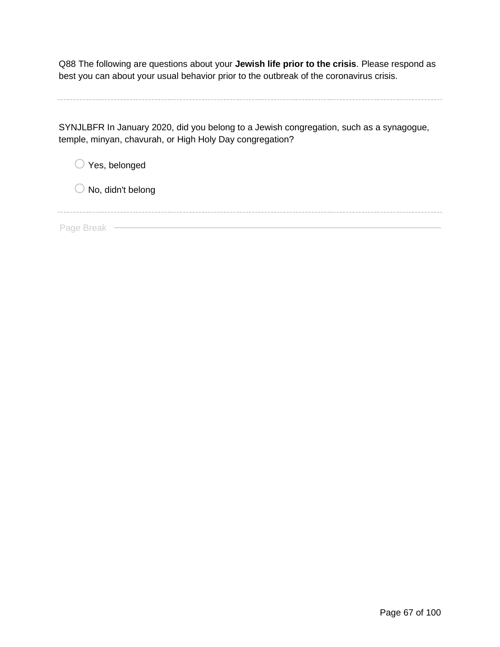Q88 The following are questions about your **Jewish life prior to the crisis**. Please respond as best you can about your usual behavior prior to the outbreak of the coronavirus crisis.

SYNJLBFR In January 2020, did you belong to a Jewish congregation, such as a synagogue, temple, minyan, chavurah, or High Holy Day congregation?

 $\bigcirc$  Yes, belonged

 $\bigcirc$  No, didn't belong

Page Break –––––––––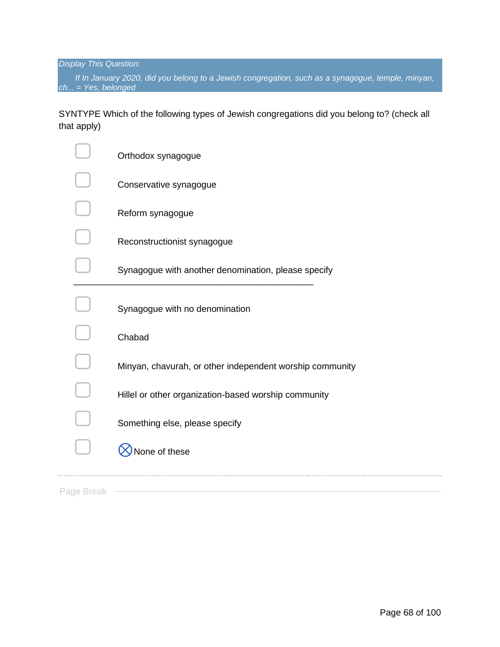*Display This Question: If In January 2020, did you belong to a Jewish congregation, such as a synagogue, temple, minyan, ch... = Yes, belonged*

SYNTYPE Which of the following types of Jewish congregations did you belong to? (check all that apply)

|            | Orthodox synagogue                                       |
|------------|----------------------------------------------------------|
|            | Conservative synagogue                                   |
|            | Reform synagogue                                         |
|            | Reconstructionist synagogue                              |
|            | Synagogue with another denomination, please specify      |
|            | Synagogue with no denomination                           |
|            | Chabad                                                   |
|            | Minyan, chavurah, or other independent worship community |
|            | Hillel or other organization-based worship community     |
|            | Something else, please specify                           |
|            | None of these                                            |
| Page Break |                                                          |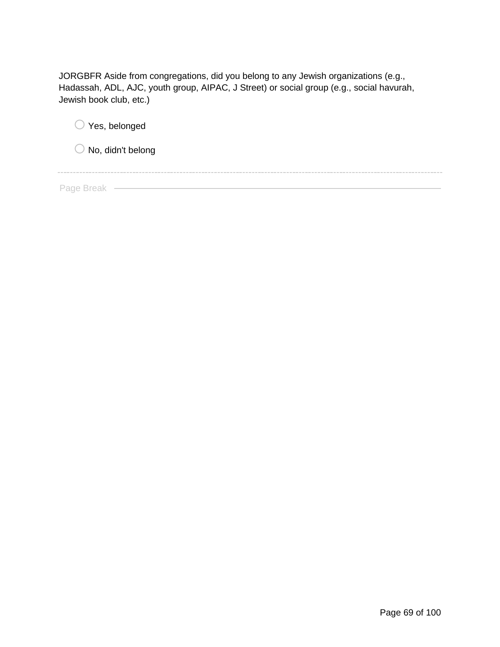JORGBFR Aside from congregations, did you belong to any Jewish organizations (e.g., Hadassah, ADL, AJC, youth group, AIPAC, J Street) or social group (e.g., social havurah, Jewish book club, etc.)

 $\bigcirc$  Yes, belonged

 $\bigcirc$  No, didn't belong

Page Break -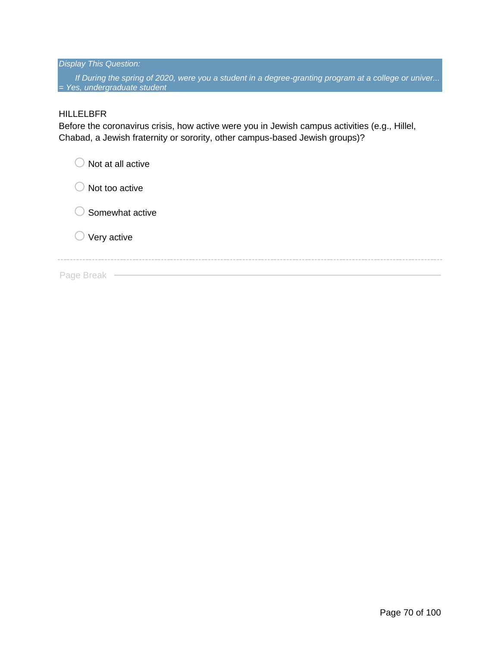*Display This Question:*

*If During the spring of 2020, were you a student in a degree-granting program at a college or univer... = Yes, undergraduate student*

## **HILLELBFR**

Before the coronavirus crisis, how active were you in Jewish campus activities (e.g., Hillel, Chabad, a Jewish fraternity or sorority, other campus-based Jewish groups)?

 $\bigcirc$  Not at all active  $\bigcirc$  Not too active  $\bigcirc$  Somewhat active  $\bigcirc$  Very active Page Break -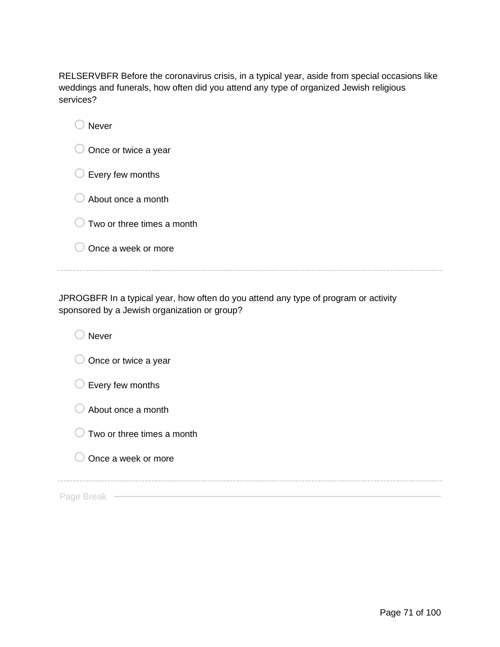RELSERVBFR Before the coronavirus crisis, in a typical year, aside from special occasions like weddings and funerals, how often did you attend any type of organized Jewish religious services?

| <b>Never</b>               |  |
|----------------------------|--|
| Once or twice a year       |  |
| Every few months           |  |
| About once a month         |  |
| Two or three times a month |  |
| Once a week or more        |  |
|                            |  |

JPROGBFR In a typical year, how often do you attend any type of program or activity sponsored by a Jewish organization or group?

| <b>Never</b>               |
|----------------------------|
| Once or twice a year       |
| Every few months           |
| About once a month         |
| Two or three times a month |
| Once a week or more        |
|                            |
| Page Break                 |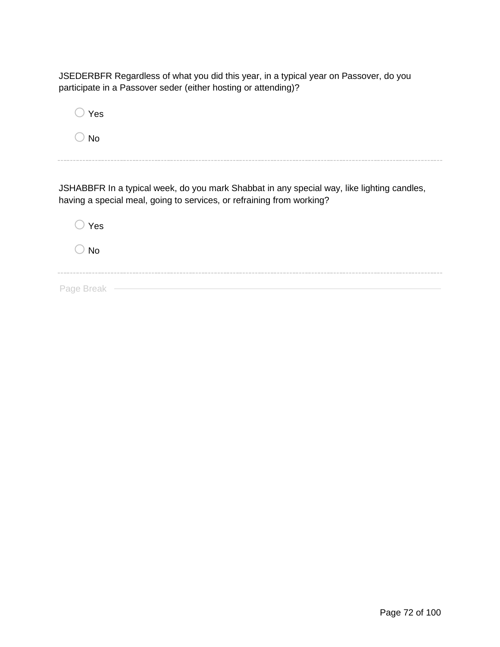JSEDERBFR Regardless of what you did this year, in a typical year on Passover, do you participate in a Passover seder (either hosting or attending)?

| Yes |
|-----|
| No  |

JSHABBFR In a typical week, do you mark Shabbat in any special way, like lighting candles, having a special meal, going to services, or refraining from working?

| $\bigcirc$ Yes |  |  |  |
|----------------|--|--|--|
| $\bigcirc$ No  |  |  |  |
|                |  |  |  |
| Page Break -   |  |  |  |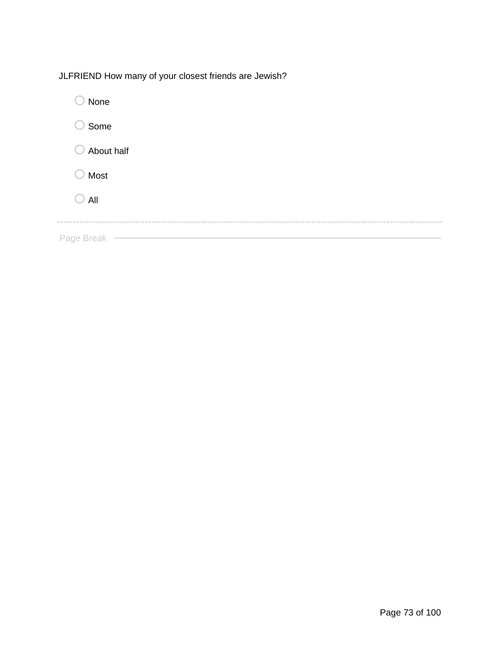JLFRIEND How many of your closest friends are Jewish?

| None       |                                                               |
|------------|---------------------------------------------------------------|
| Some       |                                                               |
| About half |                                                               |
| Most       |                                                               |
| All        |                                                               |
|            | the property start and the property start and the property of |
| Page Break |                                                               |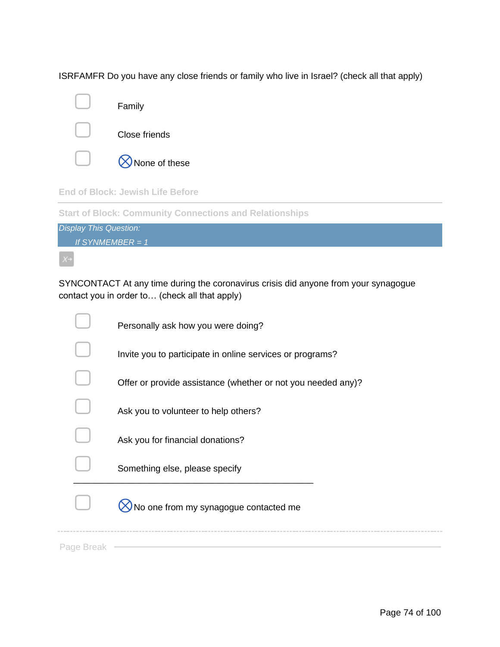ISRFAMFR Do you have any close friends or family who live in Israel? (check all that apply)



**End of Block: Jewish Life Before**

**Start of Block: Community Connections and Relationships**



SYNCONTACT At any time during the coronavirus crisis did anyone from your synagogue contact you in order to… (check all that apply)

| Page Break |                                                              |
|------------|--------------------------------------------------------------|
|            | No one from my synagogue contacted me                        |
|            | Something else, please specify                               |
|            | Ask you for financial donations?                             |
|            | Ask you to volunteer to help others?                         |
|            | Offer or provide assistance (whether or not you needed any)? |
|            | Invite you to participate in online services or programs?    |
|            | Personally ask how you were doing?                           |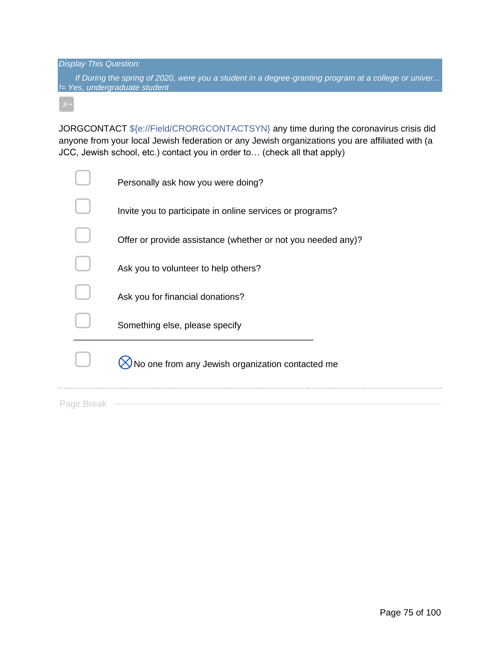*Display This Question:*

*If During the spring of 2020, were you a student in a degree-granting program at a college or univer... != Yes, undergraduate student*

JORGCONTACT \${e://Field/CRORGCONTACTSYN} any time during the coronavirus crisis did anyone from your local Jewish federation or any Jewish organizations you are affiliated with (a JCC, Jewish school, etc.) contact you in order to… (check all that apply)

|           | Personally ask how you were doing?                           |
|-----------|--------------------------------------------------------------|
|           | Invite you to participate in online services or programs?    |
|           | Offer or provide assistance (whether or not you needed any)? |
|           | Ask you to volunteer to help others?                         |
|           | Ask you for financial donations?                             |
|           | Something else, please specify                               |
|           | No one from any Jewish organization contacted me             |
| Page Brea |                                                              |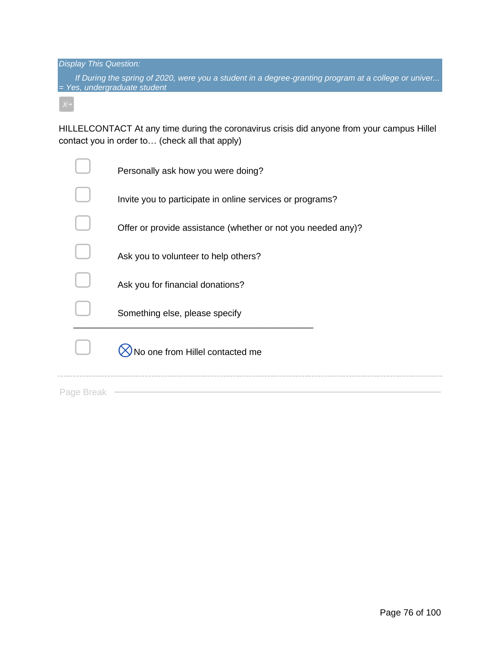*Display This Question:*

*If During the spring of 2020, were you a student in a degree-granting program at a college or univer... = Yes, undergraduate student*

HILLELCONTACT At any time during the coronavirus crisis did anyone from your campus Hillel contact you in order to… (check all that apply)

|            | Personally ask how you were doing?                           |
|------------|--------------------------------------------------------------|
|            | Invite you to participate in online services or programs?    |
|            | Offer or provide assistance (whether or not you needed any)? |
|            | Ask you to volunteer to help others?                         |
|            | Ask you for financial donations?                             |
|            | Something else, please specify                               |
|            | Vo one from Hillel contacted me                              |
| Page Breal |                                                              |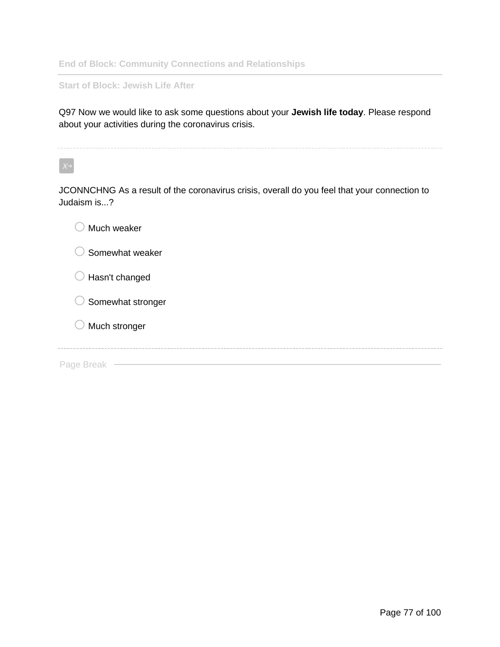**End of Block: Community Connections and Relationships**

**Start of Block: Jewish Life After**

Q97 Now we would like to ask some questions about your **Jewish life today**. Please respond about your activities during the coronavirus crisis.

 $x \rightarrow$ 

JCONNCHNG As a result of the coronavirus crisis, overall do you feel that your connection to Judaism is...?

| Much weaker          |
|----------------------|
| Somewhat weaker      |
| Hasn't changed<br>i. |
| Somewhat stronger    |
| Much stronger        |
|                      |
| Page Break           |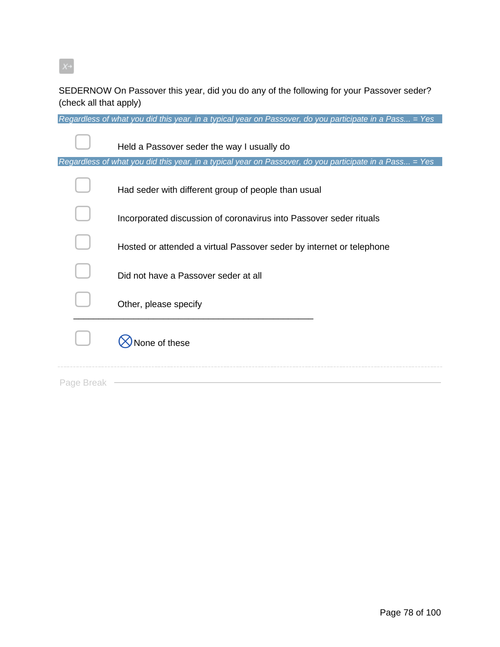SEDERNOW On Passover this year, did you do any of the following for your Passover seder? (check all that apply)

 $X \rightarrow$ 

|            | Regardless of what you did this year, in a typical year on Passover, do you participate in a Pass = Yes                                               |
|------------|-------------------------------------------------------------------------------------------------------------------------------------------------------|
|            | Held a Passover seder the way I usually do<br>Regardless of what you did this year, in a typical year on Passover, do you participate in a Pass = Yes |
|            | Had seder with different group of people than usual                                                                                                   |
|            | Incorporated discussion of coronavirus into Passover seder rituals                                                                                    |
|            | Hosted or attended a virtual Passover seder by internet or telephone                                                                                  |
|            | Did not have a Passover seder at all                                                                                                                  |
|            | Other, please specify                                                                                                                                 |
|            | <b>None of these</b>                                                                                                                                  |
| Page Break |                                                                                                                                                       |

Page 78 of 100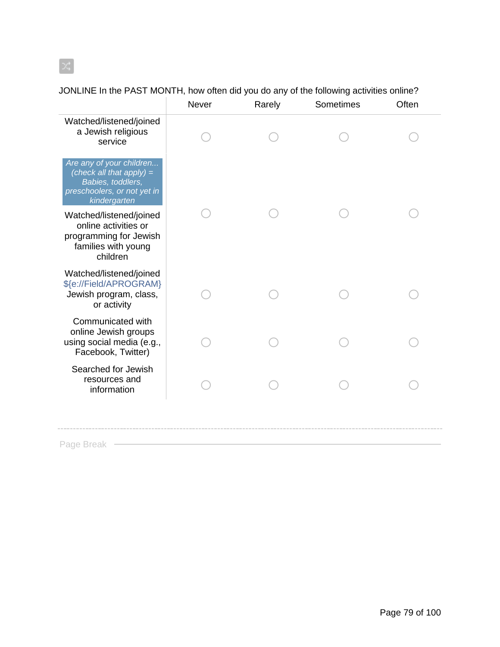$[\times]$ 

|                                                                                                                            | <b>Never</b> | Rarely | Sometimes | Often |
|----------------------------------------------------------------------------------------------------------------------------|--------------|--------|-----------|-------|
| Watched/listened/joined<br>a Jewish religious<br>service                                                                   |              |        |           |       |
| Are any of your children<br>(check all that apply) $=$<br>Babies, toddlers,<br>preschoolers, or not yet in<br>kindergarten |              |        |           |       |
| Watched/listened/joined<br>online activities or<br>programming for Jewish<br>families with young<br>children               |              |        |           |       |
| Watched/listened/joined<br>\${e://Field/APROGRAM}<br>Jewish program, class,<br>or activity                                 |              |        |           |       |
| Communicated with<br>online Jewish groups<br>using social media (e.g.,<br>Facebook, Twitter)                               |              |        |           |       |
| Searched for Jewish<br>resources and<br>information                                                                        |              |        |           |       |
| Page Break                                                                                                                 |              |        |           |       |

## JONLINE In the PAST MONTH, how often did you do any of the following activities online?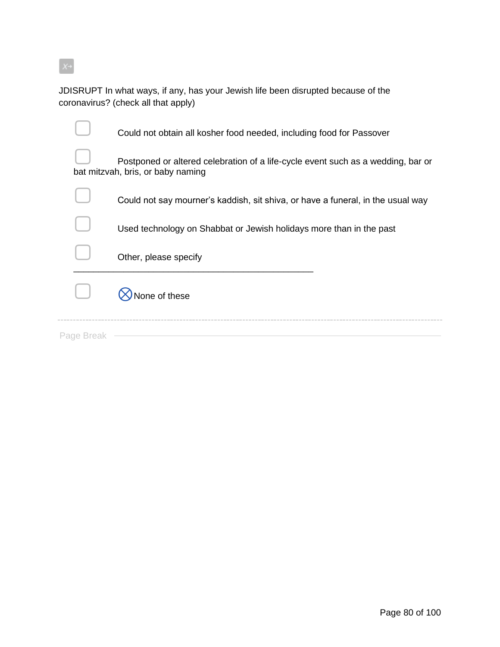$X \rightarrow$ 

JDISRUPT In what ways, if any, has your Jewish life been disrupted because of the coronavirus? (check all that apply)

|            | Could not obtain all kosher food needed, including food for Passover                                                  |
|------------|-----------------------------------------------------------------------------------------------------------------------|
|            | Postponed or altered celebration of a life-cycle event such as a wedding, bar or<br>bat mitzvah, bris, or baby naming |
|            | Could not say mourner's kaddish, sit shiva, or have a funeral, in the usual way                                       |
|            | Used technology on Shabbat or Jewish holidays more than in the past                                                   |
|            | Other, please specify                                                                                                 |
|            | one of these                                                                                                          |
| Page Breal |                                                                                                                       |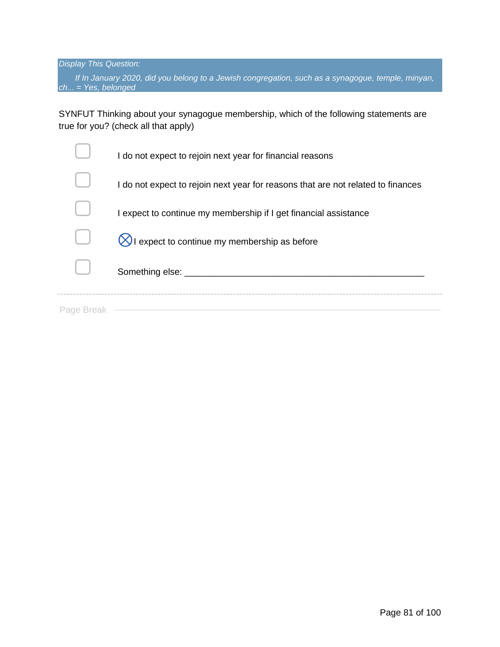*Display This Question: If In January 2020, did you belong to a Jewish congregation, such as a synagogue, temple, minyan, ch... = Yes, belonged*

SYNFUT Thinking about your synagogue membership, which of the following statements are true for you? (check all that apply)

|        | I do not expect to rejoin next year for financial reasons                        |
|--------|----------------------------------------------------------------------------------|
|        | I do not expect to rejoin next year for reasons that are not related to finances |
|        | I expect to continue my membership if I get financial assistance                 |
|        | I expect to continue my membership as before                                     |
|        | Something else:                                                                  |
| Page B |                                                                                  |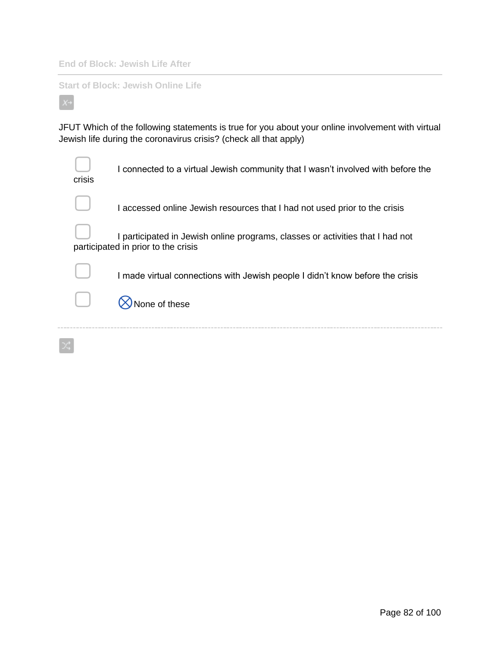**End of Block: Jewish Life After**

**Start of Block: Jewish Online Life**

JFUT Which of the following statements is true for you about your online involvement with virtual Jewish life during the coronavirus crisis? (check all that apply)

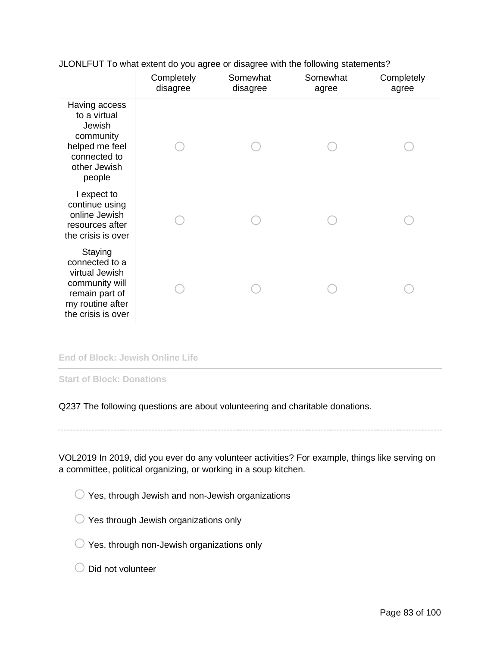|                                                                                                                           | Completely<br>disagree | Somewhat<br>disagree | Somewhat<br>agree | Completely<br>agree |
|---------------------------------------------------------------------------------------------------------------------------|------------------------|----------------------|-------------------|---------------------|
| Having access<br>to a virtual<br>Jewish<br>community<br>helped me feel<br>connected to<br>other Jewish<br>people          |                        |                      |                   |                     |
| I expect to<br>continue using<br>online Jewish<br>resources after<br>the crisis is over                                   |                        |                      |                   |                     |
| Staying<br>connected to a<br>virtual Jewish<br>community will<br>remain part of<br>my routine after<br>the crisis is over |                        |                      |                   |                     |

#### JLONLFUT To what extent do you agree or disagree with the following statements?

**End of Block: Jewish Online Life**

**Start of Block: Donations**

Q237 The following questions are about volunteering and charitable donations.

VOL2019 In 2019, did you ever do any volunteer activities? For example, things like serving on a committee, political organizing, or working in a soup kitchen.

 $\bigcirc$  Yes, through Jewish and non-Jewish organizations

- $\bigcirc$  Yes through Jewish organizations only
- $\bigcirc$  Yes, through non-Jewish organizations only
- $\bigcirc$  Did not volunteer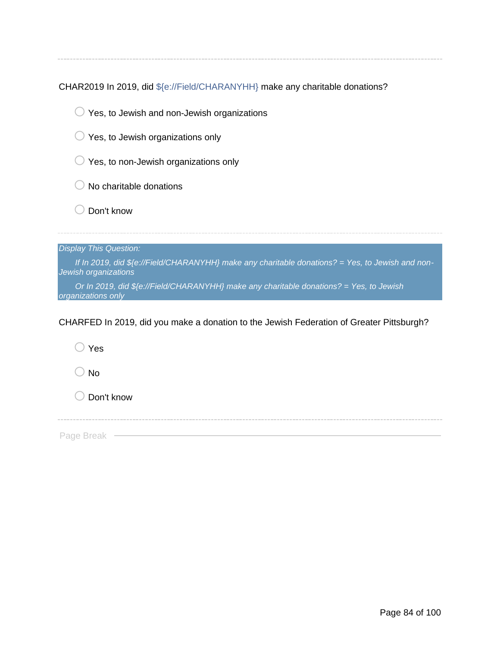CHAR2019 In 2019, did \${e://Field/CHARANYHH} make any charitable donations?



 $\bigcirc$  Don't know

| <b>Display This Question:</b>                                                                                            |
|--------------------------------------------------------------------------------------------------------------------------|
| If In 2019, did \${e://Field/CHARANYHH} make any charitable donations? = Yes, to Jewish and non-<br>Jewish organizations |
| Or In 2019, did \${e://Field/CHARANYHH} make any charitable donations? = Yes, to Jewish<br>organizations only            |
|                                                                                                                          |
| CHARFED In 2019, did you make a donation to the Jewish Federation of Greater Pittsburgh?                                 |
| Yes                                                                                                                      |
|                                                                                                                          |

 $\bigcirc$  No

O Don't know

Page Break – Engineering and the Break of the Break and the Break of the Break and the Break of the Break of the Break and the Break of the Break and the Break of the Break of the Break of the Break of the Break of the Bre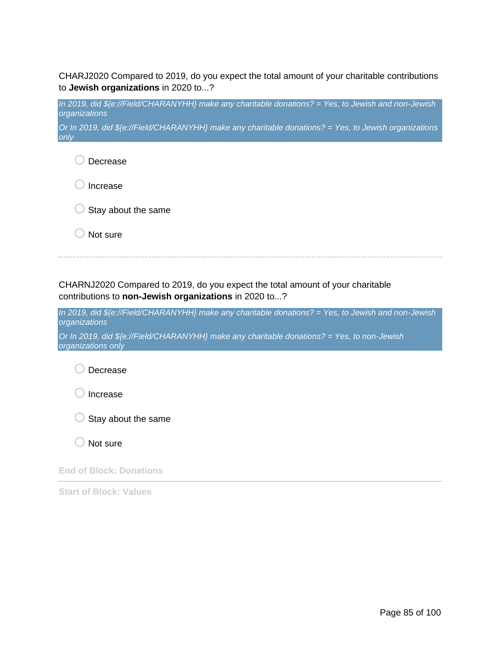CHARJ2020 Compared to 2019, do you expect the total amount of your charitable contributions to **Jewish organizations** in 2020 to...?

*In 2019, did \${e://Field/CHARANYHH} make any charitable donations? = Yes, to Jewish and non-Jewish organizations*

*Or In 2019, did \${e://Field/CHARANYHH} make any charitable donations? = Yes, to Jewish organizations only*

 $\bigcirc$  Decrease  $\bigcirc$  Increase  $\bigcirc$  Stay about the same

 $\bigcirc$  Not sure

CHARNJ2020 Compared to 2019, do you expect the total amount of your charitable

contributions to **non-Jewish organizations** in 2020 to...?

*In 2019, did \${e://Field/CHARANYHH} make any charitable donations? = Yes, to Jewish and non-Jewish organizations*

*Or In 2019, did \${e://Field/CHARANYHH} make any charitable donations? = Yes, to non-Jewish organizations only*

Decrease

 $\bigcirc$  Increase

Stay about the same

 $\bigcirc$  Not sure

**End of Block: Donations**

**Start of Block: Values**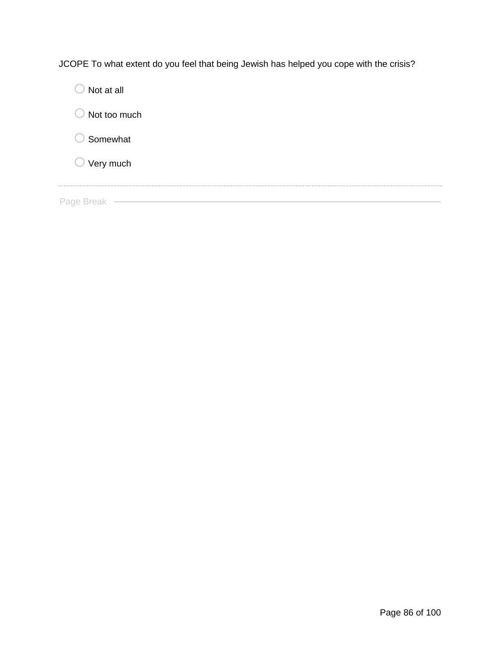JCOPE To what extent do you feel that being Jewish has helped you cope with the crisis?

| Not at all           |  |  |
|----------------------|--|--|
| Not too much         |  |  |
| Somewhat             |  |  |
| $\bigcirc$ Very much |  |  |
|                      |  |  |
| Page Break           |  |  |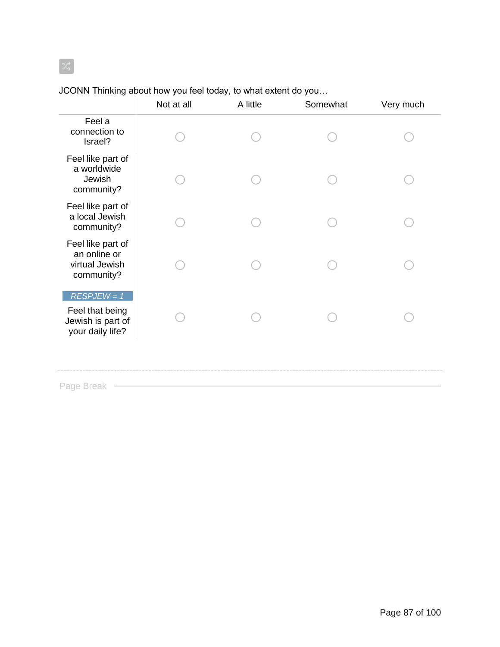$[\infty]$ 

|                                                                           | Not at all | A little | Somewhat | Very much |
|---------------------------------------------------------------------------|------------|----------|----------|-----------|
| Feel a<br>connection to<br>Israel?                                        |            |          |          |           |
| Feel like part of<br>a worldwide<br>Jewish<br>community?                  |            |          |          |           |
| Feel like part of<br>a local Jewish<br>community?                         |            |          |          |           |
| Feel like part of<br>an online or<br>virtual Jewish<br>community?         |            |          |          |           |
| $RESPIEW = 1$<br>Feel that being<br>Jewish is part of<br>your daily life? |            |          |          |           |
| Page Break                                                                |            |          |          |           |

JCONN Thinking about how you feel today, to what extent do you…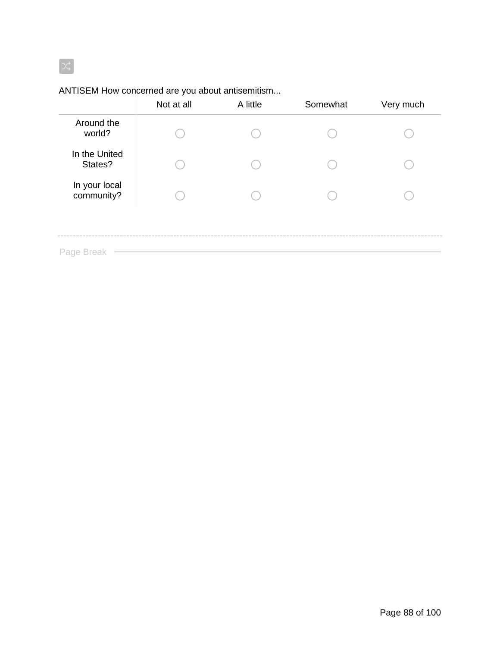# $[\infty]$

## ANTISEM How concerned are you about antisemitism...

|                                                                                           | Not at all | A little | Somewhat | Very much |
|-------------------------------------------------------------------------------------------|------------|----------|----------|-----------|
| Around the<br>world?                                                                      |            |          |          |           |
| In the United<br>States?                                                                  |            |          |          |           |
| In your local<br>community?                                                               |            |          |          |           |
|                                                                                           |            |          |          |           |
| the control of the control of the control of the control of the control of the control of |            |          |          |           |

Page Break —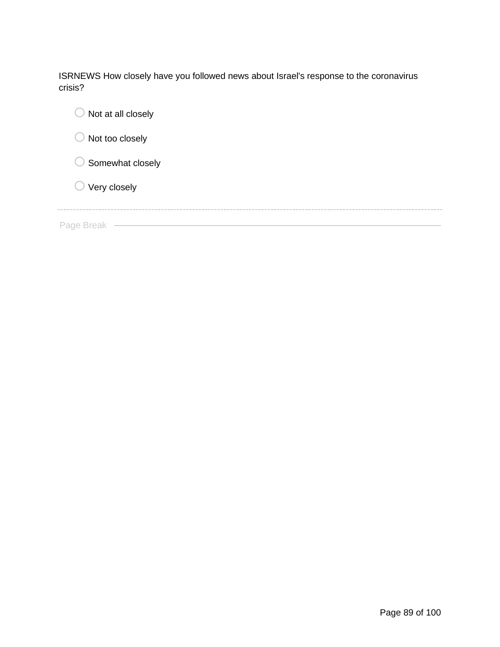ISRNEWS How closely have you followed news about Israel's response to the coronavirus crisis?

| $\bigcirc$ Not at all closely |                               |  |
|-------------------------------|-------------------------------|--|
| $\bigcirc$ Not too closely    |                               |  |
| $\bigcirc$ Somewhat closely   |                               |  |
| $\bigcirc$ Very closely       |                               |  |
|                               | ----------------------------- |  |
| Page Break                    |                               |  |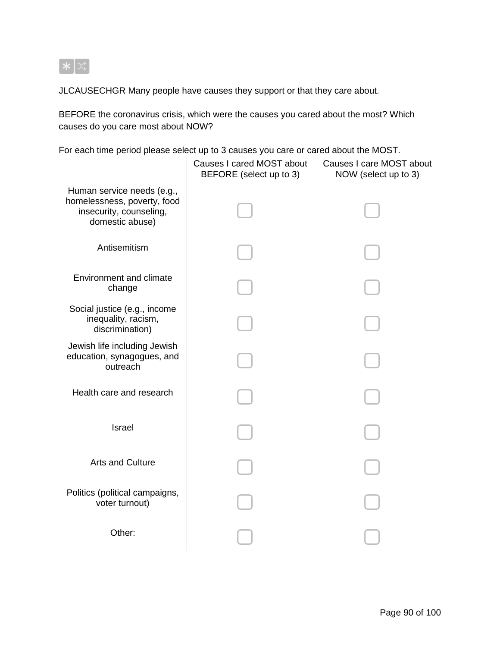

JLCAUSECHGR Many people have causes they support or that they care about.

BEFORE the coronavirus crisis, which were the causes you cared about the most? Which causes do you care most about NOW?

For each time period please select up to 3 causes you care or cared about the MOST.

|                                                                                                         | Causes I cared MOST about<br>BEFORE (select up to 3) | Causes I care MOST about<br>NOW (select up to 3) |
|---------------------------------------------------------------------------------------------------------|------------------------------------------------------|--------------------------------------------------|
| Human service needs (e.g.,<br>homelessness, poverty, food<br>insecurity, counseling,<br>domestic abuse) |                                                      |                                                  |
| Antisemitism                                                                                            |                                                      |                                                  |
| Environment and climate<br>change                                                                       |                                                      |                                                  |
| Social justice (e.g., income<br>inequality, racism,<br>discrimination)                                  |                                                      |                                                  |
| Jewish life including Jewish<br>education, synagogues, and<br>outreach                                  |                                                      |                                                  |
| Health care and research                                                                                |                                                      |                                                  |
| <b>Israel</b>                                                                                           |                                                      |                                                  |
| <b>Arts and Culture</b>                                                                                 |                                                      |                                                  |
| Politics (political campaigns,<br>voter turnout)                                                        |                                                      |                                                  |
| Other:                                                                                                  |                                                      |                                                  |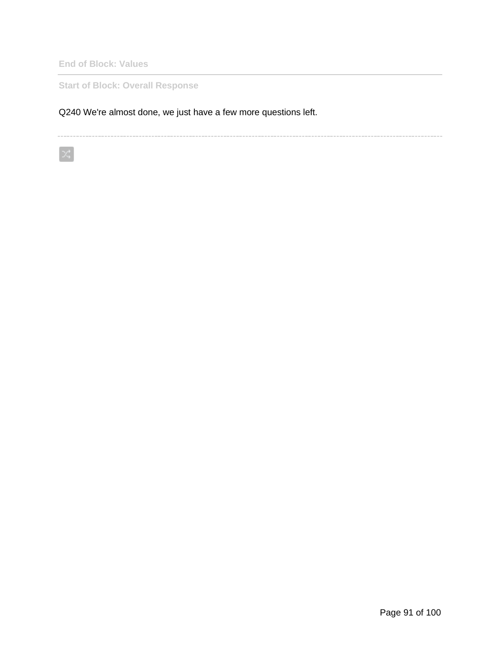**End of Block: Values**

**Start of Block: Overall Response**

Q240 We're almost done, we just have a few more questions left.



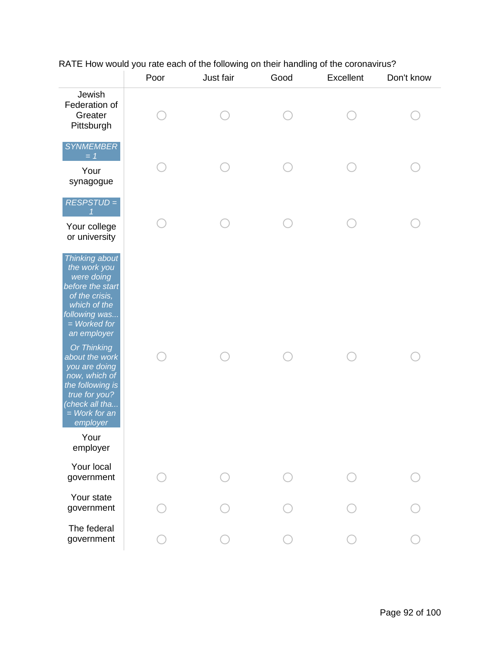|                                                                                                                                                       | Poor | Just fair | Good | Excellent | Don't know |
|-------------------------------------------------------------------------------------------------------------------------------------------------------|------|-----------|------|-----------|------------|
| Jewish<br>Federation of<br>Greater<br>Pittsburgh                                                                                                      |      |           |      |           |            |
| <b>SYNMEMBER</b><br>$= 1$                                                                                                                             |      |           |      |           |            |
| Your<br>synagogue                                                                                                                                     |      |           |      |           |            |
| $RESPSTUD =$<br>Your college<br>or university                                                                                                         |      |           |      |           |            |
| Thinking about<br>the work you<br>were doing<br>before the start<br>of the crisis,<br>which of the<br>following was<br>$=$ Worked for<br>an employer  |      |           |      |           |            |
| Or Thinking<br>about the work<br>you are doing<br>now, which of<br>the following is<br>true for you?<br>(check all tha<br>$=$ Work for an<br>employer |      |           |      |           |            |
| Your<br>employer                                                                                                                                      |      |           |      |           |            |
| Your local<br>government                                                                                                                              |      |           |      |           |            |
| Your state<br>government                                                                                                                              |      |           |      |           |            |
| The federal<br>government                                                                                                                             |      |           |      |           |            |

## RATE How would you rate each of the following on their handling of the coronavirus?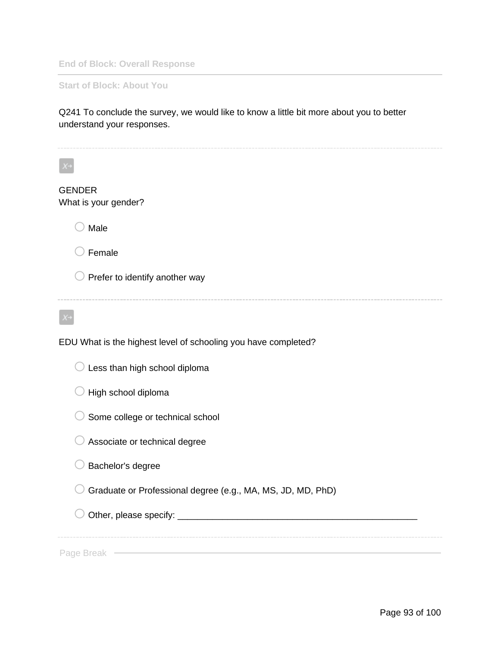**End of Block: Overall Response**

**Start of Block: About You**

Q241 To conclude the survey, we would like to know a little bit more about you to better understand your responses.

| <b>GENDER</b><br>What is your gender?                          |
|----------------------------------------------------------------|
| Male                                                           |
| Female                                                         |
| Prefer to identify another way                                 |
|                                                                |
| EDU What is the highest level of schooling you have completed? |
| Less than high school diploma                                  |
| High school diploma                                            |
| Some college or technical school                               |
| Associate or technical degree                                  |
| Bachelor's degree                                              |
| Graduate or Professional degree (e.g., MA, MS, JD, MD, PhD)    |
|                                                                |
| Page Break                                                     |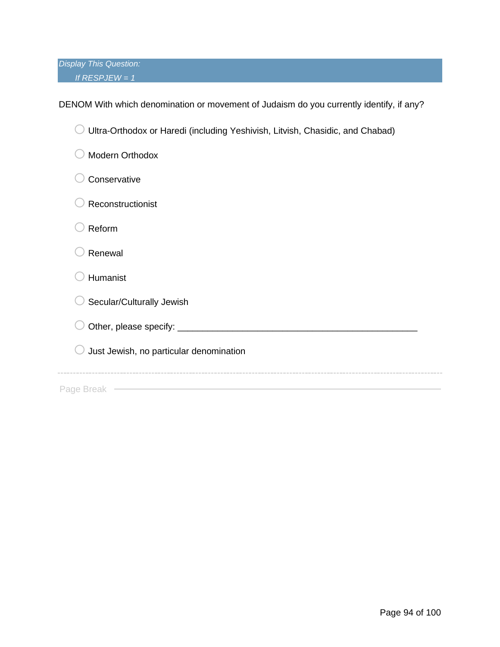*Display This Question: If RESPJEW = 1*

|            | Ultra-Orthodox or Haredi (including Yeshivish, Litvish, Chasidic, and Chabad) |
|------------|-------------------------------------------------------------------------------|
|            | <b>Modern Orthodox</b>                                                        |
|            | Conservative                                                                  |
|            | Reconstructionist                                                             |
|            | Reform                                                                        |
|            | Renewal                                                                       |
|            | Humanist                                                                      |
|            | Secular/Culturally Jewish                                                     |
|            | Other, please specify: _                                                      |
|            | Just Jewish, no particular denomination                                       |
|            |                                                                               |
| Page Break |                                                                               |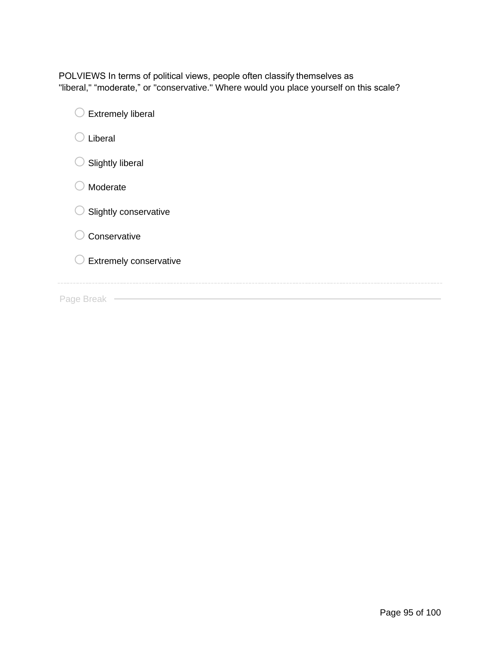POLVIEWS In terms of political views, people often classify themselves as "liberal," "moderate," or "conservative." Where would you place yourself on this scale? 

| <b>Extremely liberal</b> |
|--------------------------|
| Liberal                  |
| <b>Slightly liberal</b>  |
| Moderate                 |
| Slightly conservative    |
| Conservative             |
| Extremely conservative   |
|                          |
| Page Break               |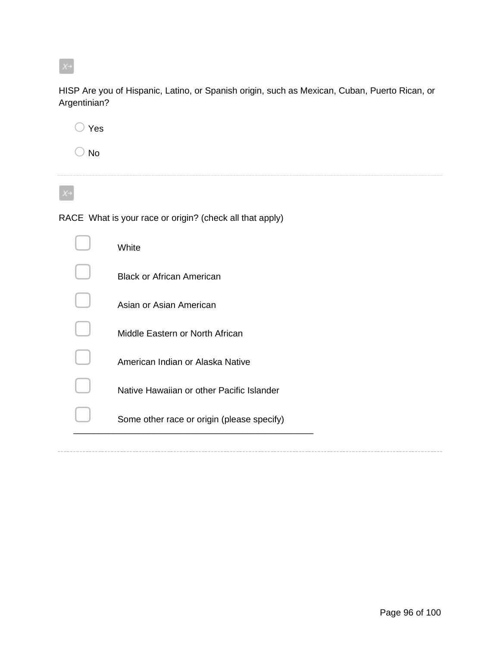$X \rightarrow$ 

HISP Are you of Hispanic, Latino, or Spanish origin, such as Mexican, Cuban, Puerto Rican, or Argentinian?

| Yes       |                                                          |
|-----------|----------------------------------------------------------|
| <b>No</b> |                                                          |
|           |                                                          |
|           | RACE What is your race or origin? (check all that apply) |
|           | White                                                    |
|           | <b>Black or African American</b>                         |
|           | Asian or Asian American                                  |
|           | Middle Eastern or North African                          |
|           | American Indian or Alaska Native                         |
|           | Native Hawaiian or other Pacific Islander                |
|           | Some other race or origin (please specify)               |
|           |                                                          |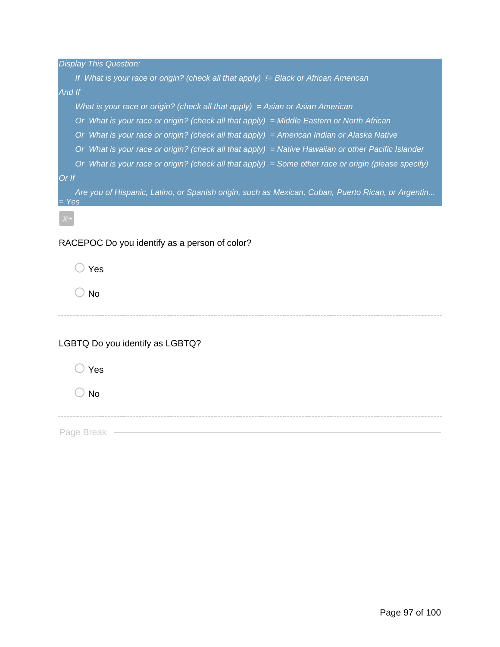| <b>Display This Question:</b>                                                                                |
|--------------------------------------------------------------------------------------------------------------|
| If What is your race or origin? (check all that apply) != Black or African American                          |
| And If                                                                                                       |
| What is your race or origin? (check all that apply) = Asian or Asian American                                |
| Or What is your race or origin? (check all that apply) = Middle Eastern or North African                     |
| Or What is your race or origin? (check all that apply) = American Indian or Alaska Native                    |
| Or What is your race or origin? (check all that apply) = Native Hawaiian or other Pacific Islander           |
| Or What is your race or origin? (check all that apply) = Some other race or origin (please specify)          |
| Or If                                                                                                        |
| Are you of Hispanic, Latino, or Spanish origin, such as Mexican, Cuban, Puerto Rican, or Argentin<br>$= Yes$ |
|                                                                                                              |
|                                                                                                              |
| RACEPOC Do you identify as a person of color?                                                                |
| Yes                                                                                                          |
| <b>No</b>                                                                                                    |
|                                                                                                              |
|                                                                                                              |
| LGBTQ Do you identify as LGBTQ?                                                                              |
| Yes                                                                                                          |
| <b>No</b>                                                                                                    |
|                                                                                                              |
|                                                                                                              |
| Page Break                                                                                                   |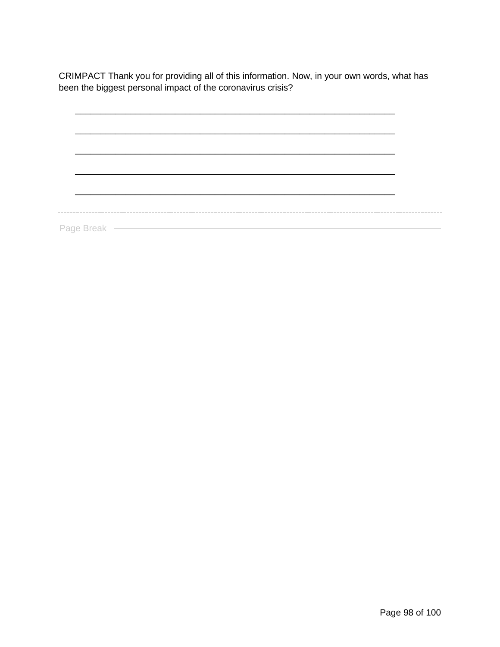CRIMPACT Thank you for providing all of this information. Now, in your own words, what has been the biggest personal impact of the coronavirus crisis?

| Page Break | the contract of the contract of the contract of the contract of the contract of |  |  |
|------------|---------------------------------------------------------------------------------|--|--|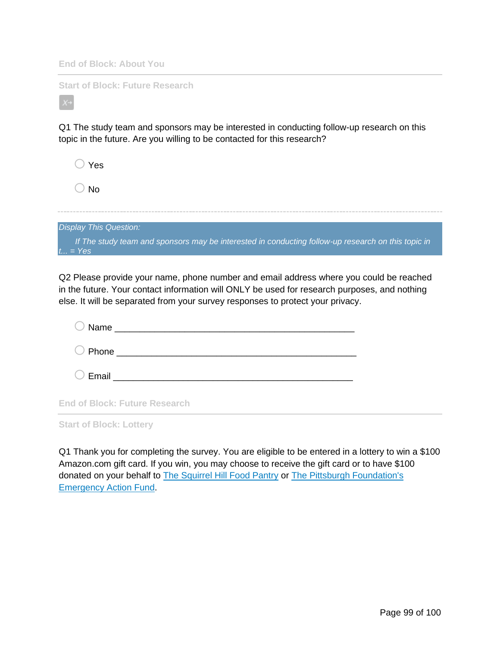**End of Block: About You**

**Start of Block: Future Research**

Q1 The study team and sponsors may be interested in conducting follow-up research on this topic in the future. Are you willing to be contacted for this research?

| Yes |  |
|-----|--|
|-----|--|

 $\bigcirc$  No

*Display This Question: If The study team and sponsors may be interested in conducting follow-up research on this topic in t... = Yes*

Q2 Please provide your name, phone number and email address where you could be reached in the future. Your contact information will ONLY be used for research purposes, and nothing else. It will be separated from your survey responses to protect your privacy.

| O Name _________________________  |  |  |
|-----------------------------------|--|--|
| O Phone _________________________ |  |  |
| ◯ Email <u>___________</u> _____  |  |  |

**End of Block: Future Research**

**Start of Block: Lottery**

Q1 Thank you for completing the survey. You are eligible to be entered in a lottery to win a \$100 Amazon.com gift card. If you win, you may choose to receive the gift card or to have \$100 donated on your behalf to [The Squirrel Hill Food Pantry](https://www.jfcspgh.org/services/squirrel-hill-food-pantry/) or The Pittsburgh Foundation's [Emergency Action Fund.](https://pittsburghfoundation.org/emergencyactionfund)